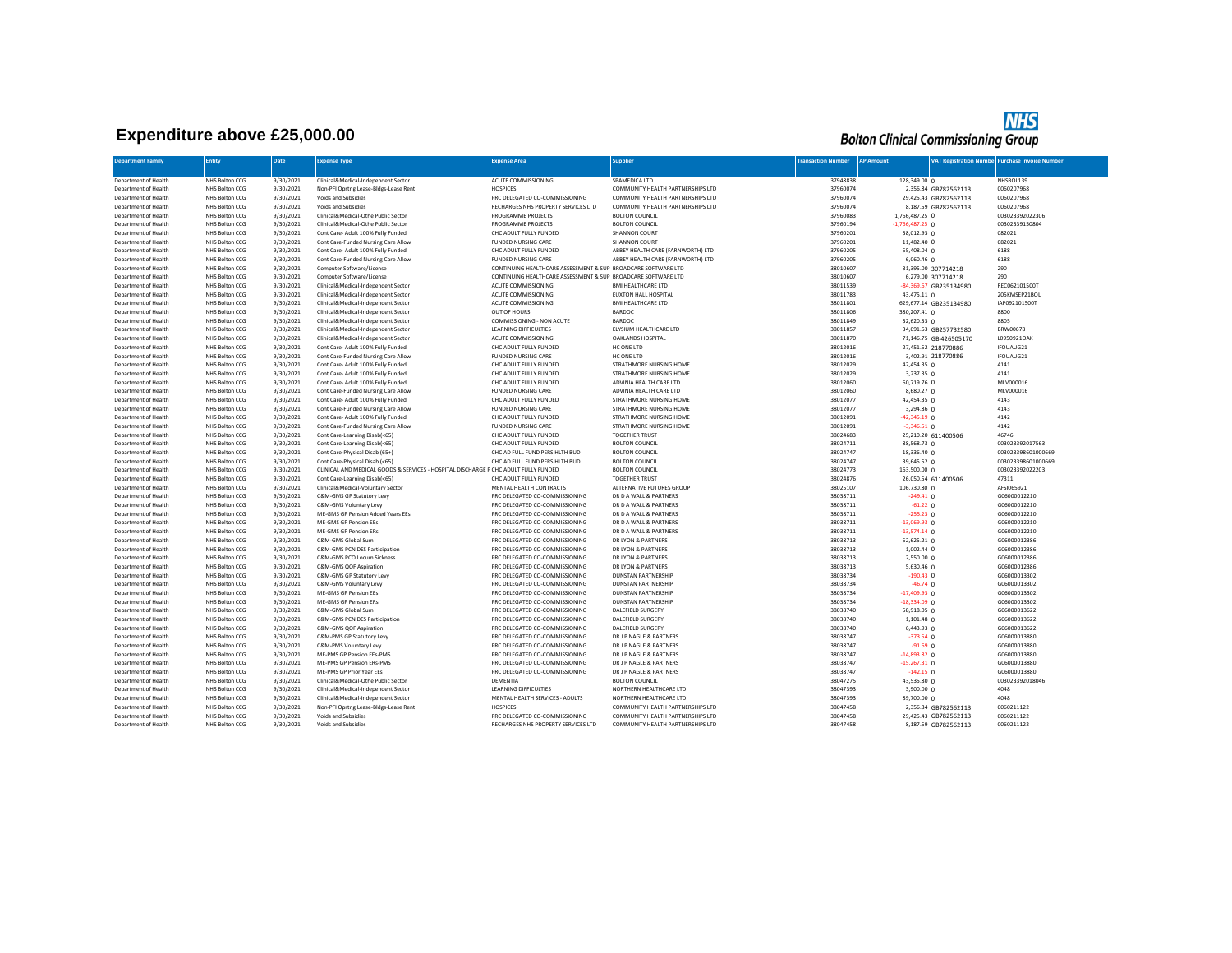## **Expenditure above £25,000.00**

## **NHS**<br>Bolton Clinical Commissioning Group

| <b>Department Family</b>                     | Entity                           | Date                   | Expense Type                                                                        | <b>Expense Area</b>                                              | <b>Supplier</b>                              | <b>Transaction Number</b> | <b>AP Amount</b>              |                        | <b>VAT Registration Number Purchase Invoice Number</b> |
|----------------------------------------------|----------------------------------|------------------------|-------------------------------------------------------------------------------------|------------------------------------------------------------------|----------------------------------------------|---------------------------|-------------------------------|------------------------|--------------------------------------------------------|
|                                              |                                  |                        |                                                                                     |                                                                  |                                              |                           |                               |                        |                                                        |
| Department of Health                         | NHS Bolton CCG                   | 9/30/2021              | Clinical&Medical-Independent Sector                                                 | ACUTE COMMISSIONING                                              | SPAMEDICA LTD                                | 37948838                  | 128,349,00 0                  |                        | NHSBOL139                                              |
| Department of Health                         | NHS Bolton CCG                   | 9/30/2021              | Non-PFI Oprtng Lease-Bldgs-Lease Rent                                               | <b>HOSPICES</b>                                                  | COMMUNITY HEALTH PARTNERSHIPS LTD            | 37960074                  |                               | 2,356.84 GB782562113   | 0060207968                                             |
| Department of Health                         | NHS Bolton CCG                   | 9/30/2021              | Voids and Subsidies                                                                 | PRC DELEGATED CO-COMMISSIONING                                   | COMMUNITY HEALTH PARTNERSHIPS LTD            | 37960074                  |                               | 29,425.43 GB782562113  | 0060207968                                             |
| Department of Health                         | NHS Bolton CCG                   | 9/30/2021              | Voids and Subsidies                                                                 | RECHARGES NHS PROPERTY SERVICES LTD                              | COMMUNITY HEALTH PARTNERSHIPS LTD            | 37960074                  |                               | 8,187.59 GB782562113   | 0060207968                                             |
| Department of Health                         | NHS Bolton CCG                   | 9/30/2021              | Clinical&Medical-Othe Public Sector                                                 | PROGRAMME PROJECTS                                               | <b>BOLTON COUNCIL</b>                        | 37960083                  | 1,766,487.25 0                |                        | 003023392022306                                        |
| Department of Health                         | NHS Bolton CCG                   | 9/30/2021              | Clinical&Medical-Othe Public Sector                                                 | PROGRAMME PROJECTS                                               | <b>BOLTON COUNCIL</b>                        | 37960194                  | $-1,766,487.25$ 0             |                        | 00302339150804                                         |
| Department of Health                         | NHS Bolton CCG                   | 9/30/2021              | Cont Care- Adult 100% Fully Funded                                                  | CHC ADULT FULLY FUNDED                                           | <b>SHANNON COURT</b>                         | 37960201                  | 38,012.93 0                   |                        | 082021                                                 |
| Department of Health                         | NHS Bolton CCG                   | 9/30/2021              | Cont Care-Funded Nursing Care Allow                                                 | <b>FUNDED NURSING CARE</b>                                       | SHANNON COURT                                | 37960201                  | 11,482.40 0                   |                        | 082021                                                 |
| Department of Health                         | NHS Bolton CCG                   | 9/30/2021              | Cont Care- Adult 100% Fully Funded                                                  | CHC ADULT FULLY FUNDED                                           | ABBEY HEALTH CARE (FARNWORTH) LTD            | 37960205                  | 55,408.04 0                   |                        | 6188                                                   |
| Department of Health                         | NHS Bolton CCG                   | 9/30/2021              | Cont Care-Funded Nursing Care Allow                                                 | <b>FUNDED NURSING CARE</b>                                       | ABBEY HEALTH CARE (FARNWORTH) LTD            | 37960205                  | $6,060.46$ 0                  |                        | 6188                                                   |
| Department of Health                         | NHS Bolton CCG                   | 9/30/2021              | Computer Software/License                                                           | CONTINUING HEALTHCARE ASSESSMENT & SUP BROADCARE SOFTWARE LTD    |                                              | 38010607                  |                               | 31,395.00 307714218    | 290                                                    |
| Department of Health                         | NHS Bolton CCG                   | 9/30/2021              | Computer Software/License                                                           | CONTINUING HEALTHCARE ASSESSMENT & SUP BROADCARE SOFTWARE LTD    |                                              | 38010607                  |                               | 6,279.00 307714218     | 290                                                    |
| Department of Health                         | NHS Bolton CCG                   | 9/30/2021              | Clinical&Medical-Independent Sector                                                 | ACUTE COMMISSIONING                                              | <b>BMI HEALTHCARE LTD</b>                    | 38011539                  |                               | -84,369.67 GB235134980 | REC062101500T                                          |
| Department of Health                         | NHS Bolton CCG                   | 9/30/2021              | Clinical&Medical-Independent Sector                                                 | ACUTE COMMISSIONING                                              | EUXTON HALL HOSPITAL                         | 38011783                  | 43,475.11 0                   |                        | 205KMSEP21BOL                                          |
| Department of Health                         | NHS Bolton CCG                   | 9/30/2021              | Clinical&Medical-Independent Sector                                                 | ACUTE COMMISSIONING                                              | <b>BMI HEALTHCARE LTD</b>                    | 38011801                  |                               | 629,677.14 GB235134980 | IAP092101500T                                          |
| Department of Health                         | NHS Bolton CCG                   | 9/30/2021              | Clinical&Medical-Independent Sector                                                 | OUT OF HOURS                                                     | BARDOC                                       | 38011806                  | 380,207.41 0                  |                        | 8800                                                   |
| Department of Health                         | NHS Bolton CCG                   | 9/30/2021              | Clinical&Medical-Independent Sector                                                 | COMMISSIONING - NON ACUTE                                        | BARDOC                                       | 38011849                  | 32,620.33 0                   |                        | 8805                                                   |
| Department of Health                         | NHS Bolton CCG                   | 9/30/2021              | Clinical&Medical-Independent Sector                                                 | <b>LEARNING DIFFICULTIES</b>                                     | ELYSIUM HEALTHCARE LTD                       | 38011857                  |                               | 34,091.63 GB257732580  | BRW00678                                               |
| Department of Health                         | NHS Bolton CCG                   | 9/30/2021              | Clinical&Medical-Independent Sector                                                 | ACUTE COMMISSIONING                                              | OAKLANDS HOSPITAL                            | 38011870                  |                               | 71,146.75 GB 426505170 | L0950921OAK                                            |
| Department of Health                         | NHS Bolton CCG                   | 9/30/2021              | Cont Care- Adult 100% Fully Funded                                                  | CHC ADULT FULLY FUNDED                                           | HC ONE LTD                                   | 38012016                  |                               | 27,451.52 218770886    | IFOUAUG21                                              |
| Department of Health                         | NHS Bolton CCG                   | 9/30/2021              | Cont Care-Funded Nursing Care Allow                                                 | <b>FUNDED NURSING CARE</b>                                       | HC ONE LTD                                   | 38012016                  |                               | 3,402.91 218770886     | IFOUAUG21                                              |
| Department of Health                         | NHS Bolton CCG                   | 9/30/2021              | Cont Care- Adult 100% Fully Funded                                                  | CHC ADULT FULLY FUNDED                                           | STRATHMORE NURSING HOME                      | 38012029                  | 42,454.35 0                   |                        | 4141                                                   |
| Department of Health                         | NHS Bolton CCG                   | 9/30/2021              | Cont Care- Adult 100% Fully Funded                                                  | CHC ADULT FULLY FUNDED                                           | STRATHMORE NURSING HOME                      | 38012029                  | 3,237.35 0                    |                        | 4141                                                   |
| Department of Health                         | NHS Bolton CCG                   | 9/30/2021              | Cont Care- Adult 100% Fully Funded                                                  | CHC ADULT FULLY FUNDED                                           | ADVINIA HEALTH CARE LTD                      | 38012060                  | 60,719.76 0                   |                        | MLV000016                                              |
| Department of Health                         | NHS Bolton CCG                   | 9/30/2021              | Cont Care-Funded Nursing Care Allow                                                 | <b>FUNDED NURSING CARE</b>                                       | ADVINIA HEALTH CARE LTD                      | 38012060                  | 8,680.27 0                    |                        | MLV000016                                              |
| Department of Health                         | NHS Bolton CCG                   | 9/30/2021              | Cont Care- Adult 100% Fully Funded                                                  | CHC ADULT FULLY FUNDED                                           | STRATHMORE NURSING HOME                      | 38012077                  | 42,454.35 0                   |                        | 4143                                                   |
| Department of Health                         | NHS Bolton CCG                   | 9/30/2021              | Cont Care-Funded Nursing Care Allow                                                 | <b>FUNDED NURSING CARE</b>                                       | STRATHMORE NURSING HOME                      | 38012077                  | 3,294.86 0                    |                        | 4143                                                   |
| Department of Health                         | NHS Bolton CCG                   | 9/30/2021              | Cont Care- Adult 100% Fully Funded                                                  | CHC ADULT FULLY FUNDED                                           | STRATHMORE NURSING HOME                      | 38012091                  | $-42,345.19$ 0                |                        | 4142                                                   |
| Department of Health                         | NHS Bolton CCG                   | 9/30/2021              | Cont Care-Funded Nursing Care Allow                                                 | <b>FUNDED NURSING CARE</b>                                       | STRATHMORE NURSING HOME                      | 38012091                  | $-3,346.51$ 0                 |                        | 4142                                                   |
| Department of Health                         | NHS Bolton CCG                   | 9/30/2021              | Cont Care-Learning Disab(<65)                                                       | CHC ADULT FULLY FUNDED                                           | <b>TOGETHER TRUST</b>                        | 38024683                  |                               | 25,210.20 611400506    | 46746                                                  |
| Department of Health                         | NHS Bolton CCG                   | 9/30/2021              | Cont Care-Learning Disab(<65)                                                       | CHC ADULT FULLY FUNDED                                           | <b>BOLTON COUNCIL</b>                        | 38024711                  | 88,568.73 0                   |                        | 003023392017563                                        |
| Department of Health                         | NHS Bolton CCG                   | 9/30/2021              | Cont Care-Physical Disab (65+)                                                      | CHC AD FULL FUND PERS HLTH BUD                                   | <b>BOLTON COUNCIL</b>                        | 38024747                  | 18,336.40 0                   |                        | 003023398601000669                                     |
| Department of Health                         | NHS Bolton CCG                   | 9/30/2021              | Cont Care-Physical Disab (<65)                                                      | CHC AD FULL FUND PERS HLTH BUD                                   | <b>BOLTON COUNCIL</b>                        | 38024747                  | 39,645.52 0                   |                        | 003023398601000669                                     |
| Department of Health                         | NHS Bolton CCG                   | 9/30/2021              | CLINICAL AND MEDICAL GOODS & SERVICES - HOSPITAL DISCHARGE F CHC ADULT FULLY FUNDED |                                                                  | <b>BOLTON COUNCIL</b>                        | 38024773                  | 163,500.00 0                  |                        | 003023392022203                                        |
| Department of Health                         | NHS Bolton CCG                   | 9/30/2021              | Cont Care-Learning Disab(<65)                                                       | CHC ADULT FULLY FUNDED.                                          | <b>TOGETHER TRUST</b>                        | 38024876                  |                               | 26,050.54 611400506    | 47311                                                  |
| Department of Health                         | NHS Bolton CCG                   | 9/30/2021              | Clinical&Medical-Voluntary Sector                                                   | MENTAL HEALTH CONTRACTS                                          | ALTERNATIVE FUTURES GROUP                    | 38025107                  | 106,730.80 0                  |                        | AFSI065921                                             |
| Department of Health                         | NHS Bolton CCG                   | 9/30/2021              | C&M-GMS GP Statutory Levy                                                           | PRC DELEGATED CO-COMMISSIONING                                   | DR D A WALL & PARTNERS                       | 38038711                  | $-249.41$ 0                   |                        | G06000012210<br>G06000012210                           |
| Department of Health                         | NHS Bolton CCG                   | 9/30/2021              | C&M-GMS Voluntary Levy                                                              | PRC DELEGATED CO-COMMISSIONING                                   | DR D A WALL & PARTNERS                       | 38038711                  | $-61.22$ 0                    |                        |                                                        |
| Department of Health                         | NHS Bolton CCG                   | 9/30/2021              | ME-GMS GP Pension Added Years EEs                                                   | PRC DELEGATED CO-COMMISSIONING                                   | DR D A WALL & PARTNERS                       | 38038711                  | $-255.23$ 0                   |                        | G06000012210                                           |
| Department of Health                         | NHS Bolton CCG                   | 9/30/2021              | ME-GMS GP Pension EEs                                                               | PRC DELEGATED CO-COMMISSIONING                                   | DR D A WALL & PARTNERS                       | 38038711                  | $-13,069.93$ 0                |                        | G06000012210                                           |
| Department of Health<br>Department of Health | NHS Bolton CCG<br>NHS Bolton CCG | 9/30/2021<br>9/30/2021 | <b>ME-GMS GP Pension ERs</b><br>C&M-GMS Global Sum                                  | PRC DELEGATED CO-COMMISSIONING<br>PRC DELEGATED CO-COMMISSIONING | DR D A WALL & PARTNERS<br>DR LYON & PARTNERS | 38038711<br>38038713      | $-13,574.14$ 0<br>52,625.21 0 |                        | G06000012210<br>G06000012386                           |
| Department of Health                         | NHS Bolton CCG                   | 9/30/2021              | C&M-GMS PCN DES Participation                                                       | PRC DELEGATED CO-COMMISSIONING                                   | DR LYON & PARTNERS                           | 38038713                  | 1,002.44 0                    |                        | G06000012386                                           |
| Department of Health                         | NHS Bolton CCG                   | 9/30/2021              | C&M-GMS PCO Locum Sickness                                                          | PRC DELEGATED CO-COMMISSIONING                                   | DR LYON & PARTNERS                           | 38038713                  | 2,550.00 0                    |                        | G06000012386                                           |
| Department of Health                         | NHS Bolton CCG                   | 9/30/2021              | C&M-GMS QOF Aspiration                                                              | PRC DELEGATED CO-COMMISSIONING                                   | DR LYON & PARTNERS                           | 38038713                  | 5,630.46 0                    |                        | G06000012386                                           |
| Department of Health                         | NHS Bolton CCG                   | 9/30/2021              | C&M-GMS GP Statutory Levy                                                           | PRC DELEGATED CO-COMMISSIONING                                   | <b>DUNSTAN PARTNERSHIP</b>                   | 38038734                  | $-190.43$ 0                   |                        | G06000013302                                           |
| Department of Health                         | NHS Bolton CCG                   | 9/30/2021              | C&M-GMS Voluntary Levy                                                              | PRC DELEGATED CO-COMMISSIONING                                   | <b>DUNSTAN PARTNERSHIP</b>                   | 38038734                  | $-46.74$ 0                    |                        | G06000013302                                           |
| Department of Health                         | NHS Bolton CCG                   | 9/30/2021              | ME-GMS GP Pension EEs                                                               | PRC DELEGATED CO-COMMISSIONING                                   | <b>DUNSTAN PARTNERSHIP</b>                   | 38038734                  | $-17,409.93$ 0                |                        | G06000013302                                           |
| Department of Health                         | NHS Bolton CCG                   | 9/30/2021              | ME-GMS GP Pension ERs                                                               | PRC DELEGATED CO-COMMISSIONING                                   | <b>DUNSTAN PARTNERSHIP</b>                   | 38038734                  | $-18,334.09$ 0                |                        | G06000013302                                           |
| Department of Health                         | NHS Bolton CCG                   | 9/30/2021              | C&M-GMS Global Sum                                                                  | PRC DELEGATED CO-COMMISSIONING                                   | <b>DALEFIELD SURGERY</b>                     | 38038740                  | 58,918.05 0                   |                        | G06000013622                                           |
| Department of Health                         | NHS Bolton CCG                   | 9/30/2021              | C&M-GMS PCN DES Participation                                                       | PRC DELEGATED CO-COMMISSIONING                                   | <b>DALEFIELD SURGERY</b>                     | 38038740                  | 1,101.48 0                    |                        | G06000013622                                           |
| Department of Health                         | NHS Bolton CCG                   | 9/30/2021              | C&M-GMS QOF Aspiration                                                              | PRC DELEGATED CO-COMMISSIONING                                   | <b>DALEFIELD SURGERY</b>                     | 38038740                  | 6,443.93 0                    |                        | G06000013622                                           |
| Department of Health                         | NHS Bolton CCG                   | 9/30/2021              | C&M-PMS GP Statutory Levy                                                           | PRC DELEGATED CO-COMMISSIONING                                   | DR J P NAGLE & PARTNERS                      | 38038747                  | $-373.54$ 0                   |                        | G06000013880                                           |
| Department of Health                         | NHS Bolton CCG                   | 9/30/2021              | C&M-PMS Voluntary Levy                                                              | PRC DELEGATED CO-COMMISSIONING                                   | DR J P NAGLE & PARTNERS                      | 38038747                  | $-91.69$ 0                    |                        | G06000013880                                           |
| Department of Health                         | NHS Bolton CCG                   | 9/30/2021              | ME-PMS GP Pension EEs-PMS                                                           | PRC DELEGATED CO-COMMISSIONING                                   | DR J P NAGLE & PARTNERS                      | 38038747                  | $-14,893.82$ 0                |                        | G06000013880                                           |
| Department of Health                         | NHS Bolton CCG                   | 9/30/2021              | ME-PMS GP Pension ERs-PMS                                                           | PRC DELEGATED CO-COMMISSIONING                                   | DR J P NAGLE & PARTNERS                      | 38038747                  | $-15,267.31$ 0                |                        | G06000013880                                           |
| Department of Health                         | NHS Bolton CCG                   | 9/30/2021              | ME-PMS GP Prior Year EEs                                                            | PRC DELEGATED CO-COMMISSIONING                                   | DR J P NAGLE & PARTNERS                      | 38038747                  | $-142.15$ 0                   |                        | G06000013880                                           |
| Department of Health                         | NHS Bolton CCG                   | 9/30/2021              | Clinical&Medical-Othe Public Sector                                                 | DEMENTIA                                                         | <b>BOLTON COUNCIL</b>                        | 38047275                  | 43,535.80 0                   |                        | 003023392018046                                        |
| Department of Health                         | NHS Bolton CCG                   | 9/30/2021              | Clinical&Medical-Independent Sector                                                 | <b>LEARNING DIFFICULTIES</b>                                     | NORTHERN HEALTHCARE LTD                      | 38047393                  | $3,900.00$ 0                  |                        | 4048                                                   |
| Department of Health                         | NHS Bolton CCG                   | 9/30/2021              | Clinical&Medical-Independent Sector                                                 | MENTAL HEALTH SERVICES - ADULTS                                  | NORTHERN HEALTHCARE LTD                      | 38047393                  | 89,700.00 0                   |                        | 4048                                                   |
| Department of Health                         | NHS Bolton CCG                   | 9/30/2021              | Non-PFI Oprtng Lease-Bidgs-Lease Rent                                               | <b>HOSPICES</b>                                                  | COMMUNITY HEALTH PARTNERSHIPS LTD            | 38047458                  |                               | 2,356.84 GB782562113   | 0060211122                                             |
| Department of Health                         | NHS Bolton CCG                   | 9/30/2021              | Voids and Subsidies                                                                 | PRC DELEGATED CO-COMMISSIONING                                   | COMMUNITY HEALTH PARTNERSHIPS LTD            | 38047458                  |                               | 29,425.43 GB782562113  | 0060211122                                             |
| Department of Health                         | NHS Bolton CCG                   | 9/30/2021              | Voids and Subsidies                                                                 | RECHARGES NHS PROPERTY SERVICES LTD                              | COMMUNITY HEALTH PARTNERSHIPS LTD            | 38047458                  |                               | 8,187.59 GB782562113   | 0060211122                                             |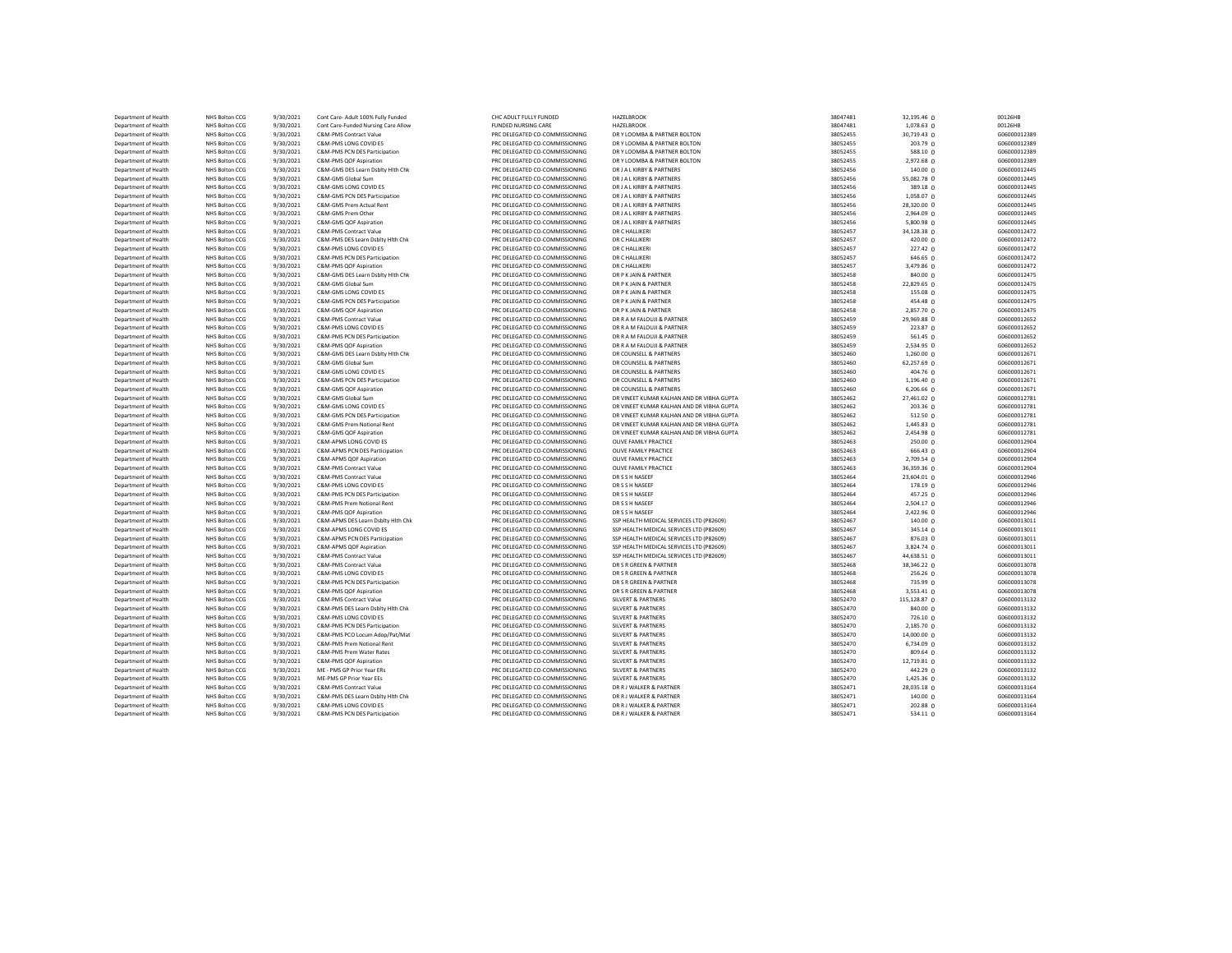| Department of Health                         | NHS Bolton CCG                   | 9/30/2021              | Cont Care- Adult 100% Fully Funded                     | CHC ADULT FULLY FUNDED                                           | <b>HAZELBROOK</b>                         | 38047481             | 32,195.46 0          | 00126HB                      |
|----------------------------------------------|----------------------------------|------------------------|--------------------------------------------------------|------------------------------------------------------------------|-------------------------------------------|----------------------|----------------------|------------------------------|
| Department of Health                         | NHS Bolton CCG                   | 9/30/2021              | Cont Care-Funded Nursing Care Allow                    | FUNDED NURSING CARE                                              | HAZELBROOK                                | 38047481             | 1,078.63 0           | 00126HB                      |
| Department of Health                         | NHS Bolton CCG                   | 9/30/2021              | C&M-PMS Contract Value                                 | PRC DELEGATED CO-COMMISSIONING                                   | DR Y LOOMBA & PARTNER BOLTON              | 38052455             | 30,719.43 0          | G06000012389                 |
| Department of Health                         | NHS Bolton CCG                   | 9/30/2021              | C&M-PMS LONG COVID ES                                  | PRC DELEGATED CO-COMMISSIONING                                   | DRY LOOMBA & PARTNER BOLTON               | 38052455             | 203.79 0             | G06000012389                 |
| Department of Health                         | NHS Bolton CCG                   | 9/30/2021              | C&M-PMS PCN DES Participation                          | PRC DELEGATED CO-COMMISSIONING                                   | DR Y LOOMBA & PARTNER BOLTON              | 38052455             | 588.10 0             | G06000012389                 |
| Department of Health                         | NHS Bolton CCG                   | 9/30/2021              | C&M-PMS OOF Aspiration                                 | PRC DELEGATED CO-COMMISSIONING                                   | DR Y LOOMBA & PARTNER BOLTON              | 38052455             | 2,972.68 0           | G06000012389                 |
| Department of Health                         | NHS Bolton CCG                   | 9/30/2021              | C&M-GMS DES Learn Dsblty Hith Chk                      | PRC DELEGATED CO-COMMISSIONING                                   | DR J A L KIRBY & PARTNERS                 | 38052456             | 140.00 0             | G06000012445                 |
| Department of Health                         | NHS Bolton CCG                   | 9/30/2021              | C&M-GMS Global Sum                                     | PRC DELEGATED CO-COMMISSIONING                                   | DR J A L KIRBY & PARTNERS                 | 38052456             | 55,082.78 0          | G06000012445                 |
| Department of Health                         | NHS Bolton CCG                   | 9/30/2021              | C&M-GMS LONG COVID ES                                  | PRC DELEGATED CO-COMMISSIONING                                   | DR J A L KIRBY & PARTNERS                 | 38052456             | 389.18 0             | G06000012445                 |
| Department of Health                         | NHS Bolton CCG                   | 9/30/2021              | C&M-GMS PCN DES Participation                          | PRC DELEGATED CO-COMMISSIONING                                   | DR J A L KIRBY & PARTNERS                 | 38052456             | 1,058.07 0           | G06000012445                 |
| Department of Health                         | NHS Bolton CCG                   | 9/30/2021              | C&M-GMS Prem Actual Rent                               | PRC DELEGATED CO-COMMISSIONING                                   | DR J A L KIRBY & PARTNERS                 | 38052456             | 28,320.00 0          | G06000012445                 |
| Department of Health                         | NHS Bolton CCG                   | 9/30/2021              | C&M-GMS Prem Other                                     | PRC DELEGATED CO-COMMISSIONING                                   | DR J A L KIRBY & PARTNERS                 | 38052456             | 2,964.09 0           | G06000012445                 |
| Department of Health                         | NHS Bolton CCG                   | 9/30/2021              | C&M-GMS QOF Aspiration                                 | PRC DELEGATED CO-COMMISSIONING                                   | DR J A L KIRBY & PARTNERS                 | 38052456             | 5,800.98 0           | G06000012445                 |
| Department of Health                         | NHS Bolton CCG                   | 9/30/2021              | C&M-PMS Contract Value                                 | PRC DELEGATED CO-COMMISSIONING                                   | DR C HALLIKERI                            | 38052457             | 34,128.38 0          | G06000012472                 |
| Department of Health                         | NHS Bolton CCG                   | 9/30/2021              | C&M-PMS DES Learn Dsblty Hith Chk                      | PRC DELEGATED CO-COMMISSIONING                                   | DR C HALLIKERI                            | 38052457             | 420.00 0             | G06000012472                 |
| Department of Health<br>Department of Health | NHS Bolton CCG<br>NHS Bolton CCG | 9/30/2021<br>9/30/2021 | C&M-PMS LONG COVID ES<br>C&M-PMS PCN DES Participation | PRC DELEGATED CO-COMMISSIONING<br>PRC DELEGATED CO-COMMISSIONING | DR C HALLIKERI<br>DR C HALLIKERI          | 38052457<br>38052457 | 227.42 0<br>646.65 0 | G06000012472<br>G06000012472 |
| Department of Health                         | NHS Bolton CCG                   | 9/30/2021              | C&M-PMS QOF Aspiration                                 | PRC DELEGATED CO-COMMISSIONING                                   | DR C HALLIKERI                            | 38052457             | 3,479.86 0           | G06000012472                 |
| Department of Health                         | NHS Bolton CCG                   | 9/30/2021              | C&M-GMS DES Learn Dsblty Hith Chk                      | PRC DELEGATED CO-COMMISSIONING                                   | DR P K JAIN & PARTNER                     | 38052458             | $840.00 \Omega$      | G06000012475                 |
| Department of Health                         | NHS Bolton CCG                   | 9/30/2021              | C&M-GMS Global Sum                                     | PRC DELEGATED CO-COMMISSIONING                                   | DR P K JAIN & PARTNER                     | 38052458             | 22,829.65 0          | G06000012475                 |
| Department of Health                         | NHS Bolton CCG                   | 9/30/2021              | C&M-GMS LONG COVID ES                                  | PRC DELEGATED CO-COMMISSIONING                                   | DR P K JAIN & PARTNER                     | 38052458             | 155.08 0             | G06000012475                 |
| Department of Health                         | NHS Bolton CCG                   | 9/30/2021              | C&M-GMS PCN DES Participation                          | PRC DELEGATED CO-COMMISSIONING                                   | DR P K JAIN & PARTNER                     | 38052458             | $454.48$ 0           | G06000012475                 |
| Department of Health                         | NHS Bolton CCG                   | 9/30/2021              | C&M-GMS QOF Aspiration                                 | PRC DELEGATED CO-COMMISSIONING                                   | DR P K JAIN & PARTNER                     | 38052458             | 2,857.70 0           | G06000012475                 |
| Department of Health                         | NHS Bolton CCG                   | 9/30/2021              | C&M-PMS Contract Value                                 | PRC DELEGATED CO-COMMISSIONING                                   | DR R A M FAI OUIL & PARTNER               | 38052459             | 29,969.88 0          | G06000012652                 |
| Department of Health                         | NHS Bolton CCG                   | 9/30/2021              | C&M-PMS LONG COVID ES                                  | PRC DELEGATED CO-COMMISSIONING                                   | DR R A M FALOUJI & PARTNER                | 38052459             | 223.87 0             | G06000012652                 |
| Department of Health                         | NHS Bolton CCG                   | 9/30/2021              | C&M-PMS PCN DES Participation                          | PRC DELEGATED CO-COMMISSIONING                                   | DR R A M FALOUJI & PARTNER                | 38052459             | 561.45 0             | G06000012652                 |
| Department of Health                         | NHS Bolton CCG                   | 9/30/2021              | C&M-PMS OOF Asniration                                 | PRC DELEGATED CO-COMMISSIONING                                   | DR R A M FALOUJI & PARTNER                | 38052459             | 2,534.95 0           | G06000012652                 |
| Department of Health                         | NHS Bolton CCG                   | 9/30/2021              | C&M-GMS DES Learn Dsblty Hith Chk                      | PRC DELEGATED CO-COMMISSIONING                                   | DR COUNSELL & PARTNERS                    | 38052460             | 1,260.00 0           | G06000012671                 |
| Department of Health                         | NHS Bolton CCG                   | 9/30/2021              | C&M-GMS Global Sum                                     | PRC DELEGATED CO-COMMISSIONING                                   | DR COUNSELL & PARTNERS                    | 38052460             | 62,257.69 0          | G06000012671                 |
| Department of Health                         | NHS Bolton CCG                   | 9/30/2021              | C&M-GMS LONG COVID ES                                  | PRC DELEGATED CO-COMMISSIONING                                   | DR COUNSELL & PARTNERS                    | 38052460             | 404.76 0             | G06000012671                 |
| Department of Health                         | NHS Bolton CCG                   | 9/30/2021              | C&M-GMS PCN DES Participation                          | PRC DELEGATED CO-COMMISSIONING                                   | DR COUNSELL & PARTNERS                    | 38052460             | 1,196.40 0           | G06000012671                 |
| Department of Health                         | NHS Bolton CCG                   | 9/30/2021              | C&M-GMS QOF Aspiration                                 | PRC DELEGATED CO-COMMISSIONING                                   | DR COUNSELL & PARTNERS                    | 38052460             | 6,206.66 0           | G06000012671                 |
| Department of Health                         | NHS Bolton CCG                   | 9/30/2021              | C&M-GMS Global Sum                                     | PRC DELEGATED CO-COMMISSIONING                                   | DR VINEET KUMAR KALHAN AND DR VIBHA GUPTA | 38052462             | 27,461.02 0          | G06000012781                 |
| Department of Health                         | NHS Bolton CCG                   | 9/30/2021              | C&M-GMS LONG COVID ES                                  | PRC DELEGATED CO-COMMISSIONING                                   | DR VINEET KUMAR KALHAN AND DR VIBHA GUPTA | 38052462             | 203.36 0             | G06000012781                 |
| Department of Health                         | NHS Bolton CCG                   | 9/30/2021              | C&M-GMS PCN DES Participation                          | PRC DELEGATED CO-COMMISSIONING                                   | DR VINEET KUMAR KALHAN AND DR VIBHA GUPTA | 38052462             | 512.50 0             | G06000012781                 |
| Department of Health                         | NHS Bolton CCG                   | 9/30/2021              | C&M-GMS Prem Notional Rent                             | PRC DELEGATED CO-COMMISSIONING                                   | DR VINEET KUMAR KALHAN AND DR VIBHA GUPTA | 38052462             | 1,445.83 0           | G06000012781                 |
| Department of Health                         | NHS Bolton CCG                   | 9/30/2021              | C&M-GMS QOF Aspiration                                 | PRC DELEGATED CO-COMMISSIONING                                   | DR VINEET KUMAR KALHAN AND DR VIBHA GUPTA | 38052462             | 2,454.98 0           | G06000012781                 |
| Department of Health                         | NHS Bolton CCG                   | 9/30/2021              | C&M-APMS LONG COVID ES                                 | PRC DELEGATED CO-COMMISSIONING                                   | OLIVE FAMILY PRACTICE                     | 38052463             | 250.00 0             | G06000012904                 |
| Department of Health                         | NHS Bolton CCG                   | 9/30/2021              | C&M-APMS PCN DES Participation                         | PRC DELEGATED CO-COMMISSIONING                                   | OLIVE FAMILY PRACTICE                     | 38052463             | 666.43 0             | G06000012904                 |
| Department of Health                         | NHS Bolton CCG                   | 9/30/2021              | C&M-APMS QOF Aspiration                                | PRC DELEGATED CO-COMMISSIONING                                   | OLIVE FAMILY PRACTICE                     | 38052463             | 2,709.54 0           | G06000012904                 |
| Department of Health                         | NHS Bolton CCG                   | 9/30/2021              | C&M-PMS Contract Value                                 | PRC DELEGATED CO-COMMISSIONING                                   | OLIVE FAMILY PRACTICE                     | 38052463             | 36,359.36 0          | G06000012904                 |
| Department of Health                         | NHS Bolton CCG                   | 9/30/2021              | C&M-PMS Contract Value                                 | PRC DELEGATED CO-COMMISSIONING                                   | DR S S H NASEEF                           | 38052464             | 23,604.01 0          | G06000012946                 |
| Department of Health                         | NHS Bolton CCG                   | 9/30/2021              | C&M-PMS LONG COVID ES                                  | PRC DELEGATED CO-COMMISSIONING                                   | DR S S H NASEEF                           | 38052464             | $178.19$ 0           | G06000012946                 |
| Department of Health                         | NHS Bolton CCG                   | 9/30/2021              | C&M-PMS PCN DES Participation                          | PRC DELEGATED CO-COMMISSIONING                                   | DR S S H NASEEF                           | 38052464             | $457.25 \Omega$      | G06000012946                 |
| Department of Health                         | NHS Bolton CCG                   | 9/30/2021              | C&M-PMS Prem Notional Rent                             | PRC DELEGATED CO-COMMISSIONING                                   | DR S S H NASEEF                           | 38052464             | $2,504.17$ 0         | G06000012946                 |
| Department of Health                         | NHS Bolton CCG                   | 9/30/2021              | C&M-PMS QOF Aspiration                                 | PRC DELEGATED CO-COMMISSIONING                                   | DR S S H NASEFF                           | 38052464             | 2,422.96 0           | G06000012946                 |
| Department of Health                         | NHS Bolton CCG                   | 9/30/2021              | C&M-APMS DES Learn Dsblty Hith Chk                     | PRC DELEGATED CO-COMMISSIONING                                   | SSP HEALTH MEDICAL SERVICES LTD (P82609)  | 38052467             | 140.00 0             | G06000013011                 |
| Department of Health                         | NHS Bolton CCG                   | 9/30/2021              | C&M-APMS LONG COVID ES                                 | PRC DELEGATED CO-COMMISSIONING                                   | SSP HEALTH MEDICAL SERVICES LTD (P82609)  | 38052467             | 345.14 0             | G06000013011                 |
| Department of Health                         | NHS Bolton CCG                   | 9/30/2021              | C&M-APMS PCN DES Participation                         | PRC DELEGATED CO-COMMISSIONING                                   | SSP HEALTH MEDICAL SERVICES LTD (P82609)  | 38052467             | 876.03 0             | G06000013011                 |
| Department of Health                         | NHS Bolton CCG                   | 9/30/2021              | C&M-APMS QOF Aspiration                                | PRC DELEGATED CO-COMMISSIONING                                   | SSP HEALTH MEDICAL SERVICES LTD (P82609)  | 38052467             | 3,824.74 0           | G06000013011                 |
| Department of Health                         | NHS Bolton CCG                   | 9/30/2021              | C&M-PMS Contract Value                                 | PRC DELEGATED CO-COMMISSIONING                                   | SSP HEALTH MEDICAL SERVICES LTD (P82609)  | 38052467             | 44,638.51 0          | G06000013011                 |
| Department of Health                         | NHS Bolton CCG                   | 9/30/2021              | <b>C&amp;M-PMS Contract Value</b>                      | PRC DELEGATED CO-COMMISSIONING                                   | DR S R GREEN & PARTNER                    | 38052468             | 38,346.22 0          | G06000013078                 |
| Department of Health                         | NHS Bolton CCG                   | 9/30/2021              | C&M-PMS LONG COVID ES                                  | PRC DELEGATED CO-COMMISSIONING                                   | DR S R GREEN & PARTNER                    | 38052468             | 256.26 0             | G06000013078                 |
| Department of Health                         | NHS Bolton CCG                   | 9/30/2021              | C&M-PMS PCN DES Participation                          | PRC DELEGATED CO-COMMISSIONING                                   | DR S R GREEN & PARTNER                    | 38052468             | 735.99 0             | G06000013078                 |
| Department of Health                         | NHS Bolton CCG                   | 9/30/2021              | C&M-PMS QOF Aspiration                                 | PRC DELEGATED CO-COMMISSIONING                                   | DR S R GREEN & PARTNER                    | 38052468             | 3,553.41 0           | G06000013078                 |
| Department of Health                         | NHS Bolton CCG                   | 9/30/2021              | C&M-PMS Contract Value                                 | PRC DELEGATED CO-COMMISSIONING                                   | <b>SILVERT &amp; PARTNERS</b>             | 38052470             | 115,128.87 0         | G06000013132                 |
| Department of Health                         | NHS Bolton CCG                   | 9/30/2021              | C&M-PMS DES Learn Dsblty Hith Chk                      | PRC DELEGATED CO-COMMISSIONING                                   | <b>SILVERT &amp; PARTNERS</b>             | 38052470             | 840.00 0             | G06000013132                 |
| Department of Health                         | NHS Bolton CCG                   | 9/30/2021              | C&M-PMS LONG COVID ES                                  | PRC DELEGATED CO-COMMISSIONING                                   | <b>SILVERT &amp; PARTNERS</b>             | 38052470             | 726.10 0             | G06000013132                 |
| Department of Health                         | NHS Bolton CCG                   | 9/30/2021              | C&M-PMS PCN DES Participation                          | PRC DELEGATED CO-COMMISSIONING                                   | <b>SILVERT &amp; PARTNERS</b>             | 38052470             | 2,185.70 0           | G06000013132                 |
| Department of Health                         | NHS Bolton CCG                   | 9/30/2021              | C&M-PMS PCO Locum Adop/Pat/Mat                         | PRC DELEGATED CO-COMMISSIONING                                   | <b>SILVERT &amp; PARTNERS</b>             | 38052470             | 14,000.00 0          | G06000013132                 |
| Department of Health                         | NHS Bolton CCG                   | 9/30/2021              | C&M-PMS Prem Notional Rent                             | PRC DELEGATED CO-COMMISSIONING                                   | <b>SILVERT &amp; PARTNERS</b>             | 38052470             | 6,734.09 0           | G06000013132                 |
| Department of Health                         | NHS Bolton CCG                   | 9/30/2021              | C&M-PMS Prem Water Rates                               | PRC DELEGATED CO-COMMISSIONING                                   | <b>SILVERT &amp; PARTNERS</b>             | 38052470             | 809.64 0             | G06000013132                 |
| Department of Health                         | NHS Bolton CCG                   | 9/30/2021              | C&M-PMS QOF Aspiration                                 | PRC DELEGATED CO-COMMISSIONING                                   | <b>SILVERT &amp; PARTNERS</b>             | 38052470             | 12,719.81 0          | G06000013132                 |
| Department of Health                         | NHS Bolton CCG                   | 9/30/2021              | MF - PMS GP Prior Year FRs                             | PRC DELEGATED CO-COMMISSIONING                                   | SILVERT & PARTNERS                        | 38052470             | 442.29 0             | G06000013132                 |
| Department of Health                         | NHS Bolton CCG                   | 9/30/2021              | ME-PMS GP Prior Year EEs                               | PRC DELEGATED CO-COMMISSIONING                                   | <b>SILVERT &amp; PARTNERS</b>             | 38052470             | $1,425.36$ 0         | G06000013132                 |
| Department of Health                         | NHS Bolton CCG                   | 9/30/2021              | C&M-PMS Contract Value                                 | PRC DELEGATED CO-COMMISSIONING                                   | DR R J WALKER & PARTNER                   | 38052471             | 28,035.18 0          | G06000013164                 |
| Department of Health                         | NHS Bolton CCG                   | 9/30/2021              | C&M-PMS DES Learn Dsblty Hith Chk                      | PRC DELEGATED CO-COMMISSIONING                                   | DR R J WALKER & PARTNER                   | 38052471             | 140.0000             | G06000013164                 |
| Department of Health                         | NHS Bolton CCG                   | 9/30/2021              | C&M-PMS LONG COVID ES                                  | PRC DELEGATED CO-COMMISSIONING                                   | DR R J WALKER & PARTNER                   | 38052471             | $202.88$ 0           | G06000013164                 |
| Department of Health                         | NHS Bolton CCG                   | 9/30/2021              | C&M-PMS PCN DES Participation                          | PRC DELEGATED CO-COMMISSIONING                                   | DR R J WALKER & PARTNER                   | 38052471             | 534.11 <sub>0</sub>  | G06000013164                 |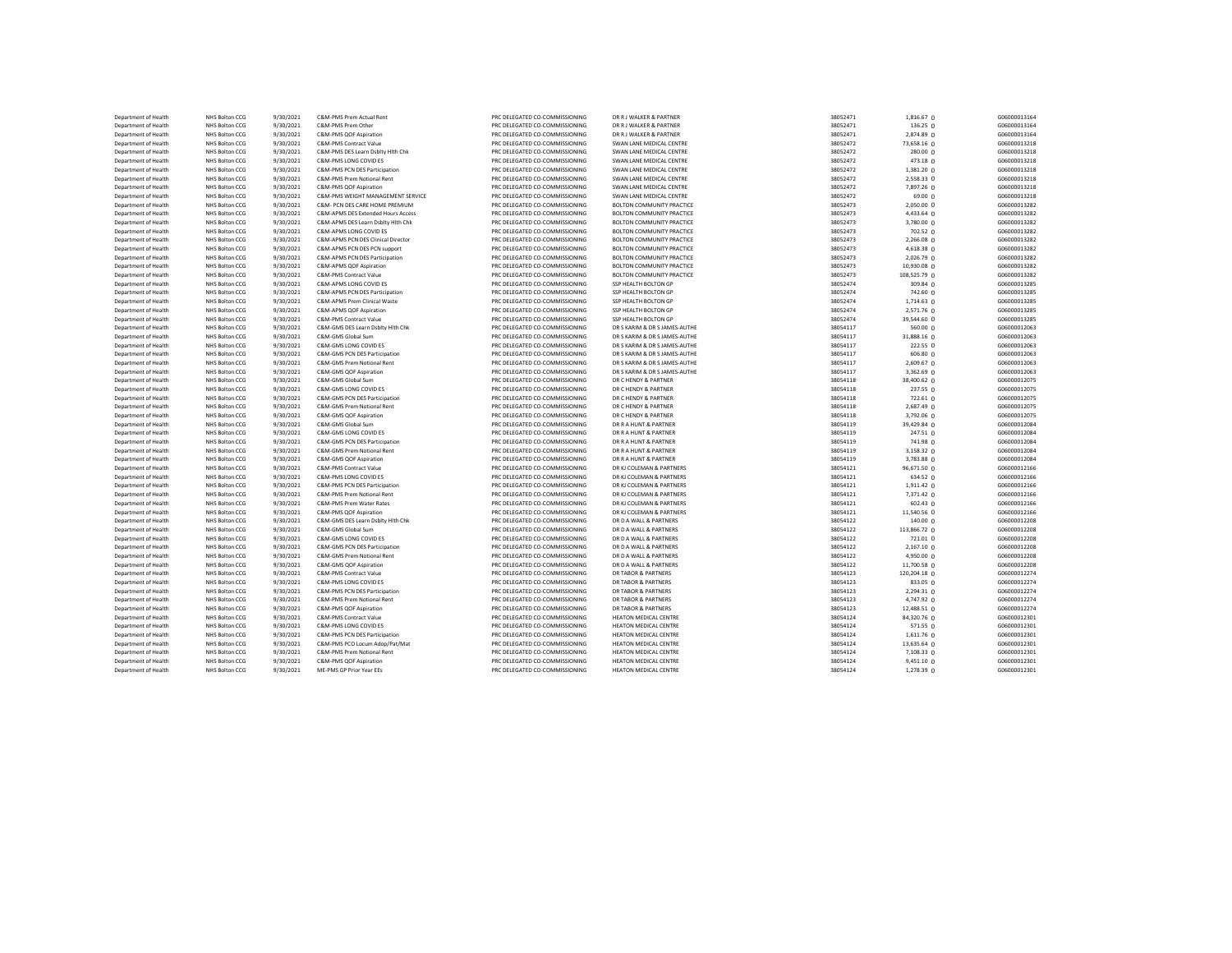| Department of Health | NHS Bolton CCG | 9/30/2021 | C&M-PMS Prem Actual Rent           | PRC DELEGATED CO-COMMISSIONING | DR R J WALKER & PARTNER          | 38052471 | 1,816.67 0      | G06000013164 |
|----------------------|----------------|-----------|------------------------------------|--------------------------------|----------------------------------|----------|-----------------|--------------|
| Department of Health | NHS Bolton CCG | 9/30/2021 | C&M-PMS Prem Other                 | PRC DELEGATED CO-COMMISSIONING | DR R J WALKER & PARTNER          | 38052471 | 136.25 0        | G06000013164 |
| Department of Health | NHS Bolton CCG | 9/30/2021 | C&M-PMS QOF Aspiration             | PRC DELEGATED CO-COMMISSIONING | DR R J WALKER & PARTNER          | 38052471 | 2,874.89 0      | G06000013164 |
| Department of Health | NHS Bolton CCG | 9/30/2021 | C&M-PMS Contract Value             | PRC DELEGATED CO-COMMISSIONING | SWAN LANE MEDICAL CENTRE         | 38052472 | 73,658.16 0     | G06000013218 |
| Department of Health | NHS Bolton CCG | 9/30/2021 | C&M-PMS DES Learn Dsblty Hith Chk  | PRC DELEGATED CO-COMMISSIONING | SWAN LANE MEDICAL CENTRE         | 38052472 | 280.00 0        | G06000013218 |
| Department of Health | NHS Bolton CCG | 9/30/2021 | C&M-PMS LONG COVID ES              | PRC DELEGATED CO-COMMISSIONING | SWAN LANE MEDICAL CENTRE         | 38052472 | 473.18 0        | G06000013218 |
| Department of Health | NHS Bolton CCG | 9/30/2021 | C&M-PMS PCN DES Participation      | PRC DELEGATED CO-COMMISSIONING | SWAN LANE MEDICAL CENTRE         | 38052472 | 1,381.20 0      | G06000013218 |
| Department of Health | NHS Bolton CCG | 9/30/2021 | C&M-PMS Prem Notional Rent         | PRC DELEGATED CO-COMMISSIONING | SWAN LANE MEDICAL CENTRE         | 38052472 | 2,558.33 0      | G06000013218 |
| Department of Health | NHS Bolton CCG | 9/30/2021 | C&M-PMS QOF Aspiration             | PRC DELEGATED CO-COMMISSIONING | SWAN LANE MEDICAL CENTRE         | 38052472 | 7,897.26 0      | G06000013218 |
| Department of Health | NHS Bolton CCG | 9/30/2021 | C&M-PMS WEIGHT MANAGEMENT SERVICE  | PRC DELEGATED CO-COMMISSIONING | SWAN LANE MEDICAL CENTRE         | 38052472 | 69.00 0         | G06000013218 |
| Department of Health | NHS Bolton CCG | 9/30/2021 | C&M- PCN DES CARE HOME PREMIUM     | PRC DELEGATED CO-COMMISSIONING | <b>BOLTON COMMUNITY PRACTICE</b> | 38052473 | 2,050.00 0      | G06000013282 |
| Department of Health | NHS Bolton CCG | 9/30/2021 | C&M-APMS DES Extended Hours Access | PRC DELEGATED CO-COMMISSIONING | <b>BOLTON COMMUNITY PRACTICE</b> | 38052473 | 4,433.64 0      | G06000013282 |
| Department of Health | NHS Bolton CCG | 9/30/2021 | C&M-APMS DES Learn Dsblty Hith Chk | PRC DELEGATED CO-COMMISSIONING | <b>BOLTON COMMUNITY PRACTICE</b> | 38052473 | 3,780.00 0      | G06000013282 |
| Department of Health | NHS Bolton CCG | 9/30/2021 | C&M-APMS LONG COVID ES             | PRC DELEGATED CO-COMMISSIONING | <b>BOLTON COMMUNITY PRACTICE</b> | 38052473 | 702.52 0        | G06000013282 |
| Department of Health | NHS Bolton CCG | 9/30/2021 | C&M-APMS PCN DES Clinical Director | PRC DELEGATED CO-COMMISSIONING | <b>BOLTON COMMUNITY PRACTICE</b> | 38052473 | 2,266.08 0      | G06000013282 |
| Department of Health | NHS Bolton CCG | 9/30/2021 | C&M-APMS PCN DES PCN support       | PRC DELEGATED CO-COMMISSIONING | <b>BOLTON COMMUNITY PRACTICE</b> | 38052473 | 4,618.38 0      | G06000013282 |
| Department of Health | NHS Bolton CCG | 9/30/2021 | C&M-APMS PCN DES Participation     | PRC DELEGATED CO-COMMISSIONING | <b>BOLTON COMMUNITY PRACTICE</b> | 38052473 | 2,026.79 0      | G06000013282 |
| Department of Health | NHS Bolton CCG | 9/30/2021 | C&M-APMS QOF Aspiration            | PRC DELEGATED CO-COMMISSIONING | <b>BOLTON COMMUNITY PRACTICE</b> | 38052473 | 10,930.08 0     | G06000013282 |
| Department of Health | NHS Bolton CCG | 9/30/2021 | C&M-PMS Contract Value             | PRC DELEGATED CO-COMMISSIONING | <b>BOLTON COMMUNITY PRACTICE</b> | 38052473 | 108,525.79 0    | G06000013282 |
| Department of Health | NHS Bolton CCG | 9/30/2021 | C&M-APMS LONG COVID ES             | PRC DELEGATED CO-COMMISSIONING | SSP HEALTH BOLTON GP             | 38052474 | 309.84 0        | G06000013285 |
| Department of Health | NHS Bolton CCG | 9/30/2021 | C&M-APMS PCN DES Participation     | PRC DELEGATED CO-COMMISSIONING | SSP HEALTH BOLTON GP             | 38052474 | $742.60 \Omega$ | G06000013285 |
| Department of Health | NHS Bolton CCG | 9/30/2021 | C&M-APMS Prem Clinical Waste       | PRC DELEGATED CO-COMMISSIONING | SSP HEALTH BOLTON GP             | 38052474 | $1,714.63$ 0    | G06000013285 |
| Department of Health | NHS Bolton CCG | 9/30/2021 | C&M-APMS QOF Aspiration            | PRC DELEGATED CO-COMMISSIONING | SSP HEALTH BOLTON GP             | 38052474 | 2,571.76 0      | G06000013285 |
| Department of Health | NHS Bolton CCG | 9/30/2021 | C&M-PMS Contract Value             | PRC DELEGATED CO-COMMISSIONING | SSP HEALTH BOLTON GP             | 38052474 | 39,544.60 0     | G06000013285 |
| Department of Health | NHS Bolton CCG | 9/30/2021 | C&M-GMS DES Learn Dsbltv Hith Chk  | PRC DELEGATED CO-COMMISSIONING | DR S KARIM & DR S JAMES-AUTHE    | 38054117 | 560.00 0        | G06000012063 |
| Department of Health | NHS Bolton CCG | 9/30/2021 | C&M-GMS Global Sum                 | PRC DELEGATED CO-COMMISSIONING | DR S KARIM & DR S JAMES-AUTHE    | 38054117 | 31,888.16 0     | G06000012063 |
| Department of Health | NHS Bolton CCG | 9/30/2021 | C&M-GMS LONG COVID ES              | PRC DELEGATED CO-COMMISSIONING | DR S KARIM & DR S JAMES-AUTHE    | 38054117 | 222.55 0        | G06000012063 |
| Department of Health | NHS Bolton CCG | 9/30/2021 | C&M-GMS PCN DES Participation      | PRC DELEGATED CO-COMMISSIONING | DR S KARIM & DR S JAMES-AUTHE    | 38054117 | 606.80 0        | G06000012063 |
| Department of Health | NHS Bolton CCG | 9/30/2021 | C&M-GMS Prem Notional Rent         | PRC DELEGATED CO-COMMISSIONING | DR S KARIM & DR S JAMES-AUTHE    | 38054117 | 2,609.67 0      | G06000012063 |
| Department of Health | NHS Bolton CCG | 9/30/2021 | C&M-GMS QOF Aspiration             | PRC DELEGATED CO-COMMISSIONING | DR S KARIM & DR S JAMES-AUTHE    | 38054117 | 3,362.69 0      | G06000012063 |
| Department of Health | NHS Bolton CCG | 9/30/2021 | C&M-GMS Global Sum                 | PRC DELEGATED CO-COMMISSIONING | DR C HENDY & PARTNER             | 38054118 | 38,400.62 0     | G06000012075 |
| Department of Health | NHS Bolton CCG | 9/30/2021 | C&M-GMS LONG COVID ES              | PRC DELEGATED CO-COMMISSIONING | DR C HENDY & PARTNER             | 38054118 | 237.55 0        | G06000012075 |
| Department of Health | NHS Bolton CCG | 9/30/2021 | C&M-GMS PCN DES Participation      | PRC DELEGATED CO-COMMISSIONING | DR C HENDY & PARTNER             | 38054118 | 722.61 0        | G06000012075 |
| Department of Health | NHS Bolton CCG | 9/30/2021 | C&M-GMS Prem Notional Rent         | PRC DELEGATED CO-COMMISSIONING | DR C HENDY & PARTNER             | 38054118 | 2,687.49 0      | G06000012075 |
| Department of Health | NHS Bolton CCG | 9/30/2021 | C&M-GMS QOF Aspiration             | PRC DELEGATED CO-COMMISSIONING | DR C HENDY & PARTNER             | 38054118 | 3,792.06 0      | G06000012075 |
| Department of Health | NHS Bolton CCG | 9/30/2021 | C&M-GMS Global Sum                 | PRC DELEGATED CO-COMMISSIONING | DR R A HUNT & PARTNER            | 38054119 | 39,429.84 0     | G06000012084 |
| Department of Health | NHS Bolton CCG | 9/30/2021 | C&M-GMS LONG COVID ES              | PRC DELEGATED CO-COMMISSIONING | DR R A HUNT & PARTNER            | 38054119 | 247.51 0        | G06000012084 |
| Department of Health | NHS Bolton CCG | 9/30/2021 | C&M-GMS PCN DES Participation      | PRC DELEGATED CO-COMMISSIONING | DR R A HUNT & PARTNER            | 38054119 | 741.98 0        | G06000012084 |
| Department of Health | NHS Bolton CCG | 9/30/2021 | C&M-GMS Prem Notional Rent         | PRC DELEGATED CO-COMMISSIONING | DR R A HUNT & PARTNER            | 38054119 | 3,158.32 0      | G06000012084 |
| Department of Health | NHS Bolton CCG | 9/30/2021 | C&M-GMS QOF Aspiration             | PRC DELEGATED CO-COMMISSIONING | DR R A HUNT & PARTNER            | 38054119 | 3,783.88 0      | G06000012084 |
| Department of Health | NHS Bolton CCG | 9/30/2021 | C&M-PMS Contract Value             | PRC DELEGATED CO-COMMISSIONING | DR KJ COLEMAN & PARTNERS         | 38054121 | 96,671.50 0     | G06000012166 |
| Department of Health | NHS Bolton CCG | 9/30/2021 | C&M-PMS LONG COVID ES              | PRC DELEGATED CO-COMMISSIONING | DR KJ COLEMAN & PARTNERS         | 38054121 | $634.52$ 0      | G06000012166 |
| Department of Health | NHS Bolton CCG | 9/30/2021 | C&M-PMS PCN DES Participation      | PRC DELEGATED CO-COMMISSIONING | DR KJ COLEMAN & PARTNERS         | 38054121 | 1,911.42 0      | G06000012166 |
| Department of Health | NHS Bolton CCG | 9/30/2021 | C&M-PMS Prem Notional Rent         | PRC DELEGATED CO-COMMISSIONING | DR KJ COLEMAN & PARTNERS         | 38054121 | $7,371.42$ 0    | G06000012166 |
| Department of Health | NHS Bolton CCG | 9/30/2021 | C&M-PMS Prem Water Rates           | PRC DELEGATED CO-COMMISSIONING | DR KJ COLEMAN & PARTNERS         | 38054121 | $602.43 \Omega$ | G06000012166 |
| Department of Health | NHS Bolton CCG | 9/30/2021 | C&M-PMS QOF Aspiration             | PRC DELEGATED CO-COMMISSIONING | DR KJ COLEMAN & PARTNERS         | 38054121 | 11,540.56 0     | G06000012166 |
| Department of Health | NHS Bolton CCG | 9/30/2021 | C&M-GMS DES Learn Dsblty Hith Chk  | PRC DELEGATED CO-COMMISSIONING | DR D A WALL & PARTNERS           | 38054122 | 140.00 0        | G06000012208 |
| Department of Health | NHS Bolton CCG | 9/30/2021 | C&M-GMS Global Sum                 | PRC DELEGATED CO-COMMISSIONING | DR D A WALL & PARTNERS           | 38054122 | 113,866.72 0    | G06000012208 |
| Department of Health | NHS Bolton CCG | 9/30/2021 | C&M-GMS LONG COVID ES              | PRC DELEGATED CO-COMMISSIONING | DR D A WALL & PARTNERS           | 38054122 | 721.01 0        | G06000012208 |
| Department of Health | NHS Bolton CCG | 9/30/2021 | C&M-GMS PCN DES Participation      | PRC DELEGATED CO-COMMISSIONING | DR D A WALL & PARTNERS           | 38054122 | 2,167.10 0      | G06000012208 |
| Department of Health | NHS Bolton CCG | 9/30/2021 | C&M-GMS Prem Notional Rent         | PRC DELEGATED CO-COMMISSIONING | DR D A WALL & PARTNERS           | 38054122 | 4,950.00 0      | G06000012208 |
| Department of Health | NHS Bolton CCG | 9/30/2021 | C&M-GMS QOF Aspiration             | PRC DELEGATED CO-COMMISSIONING | DR D A WALL & PARTNERS           | 38054122 | 11,700.58 0     | G06000012208 |
| Department of Health | NHS Bolton CCG | 9/30/2021 | C&M-PMS Contract Value             | PRC DELEGATED CO-COMMISSIONING | DR TABOR & PARTNERS              | 38054123 | 120,204.18 0    | G06000012274 |
| Department of Health | NHS Bolton CCG | 9/30/2021 | C&M-PMS LONG COVID ES              | PRC DELEGATED CO-COMMISSIONING | DR TABOR & PARTNERS              | 38054123 | 833.05 0        | G06000012274 |
| Department of Health | NHS Bolton CCG | 9/30/2021 | C&M-PMS PCN DES Participation      | PRC DELEGATED CO-COMMISSIONING | <b>DR TABOR &amp; PARTNERS</b>   | 38054123 | 2,294.31 0      | G06000012274 |
| Department of Health | NHS Bolton CCG | 9/30/2021 | C&M-PMS Prem Notional Rent         | PRC DELEGATED CO-COMMISSIONING | DR TABOR & PARTNERS              | 38054123 | 4,747.92 0      | G06000012274 |
| Department of Health | NHS Bolton CCG | 9/30/2021 | C&M-PMS QOF Aspiration             | PRC DELEGATED CO-COMMISSIONING | DR TABOR & PARTNERS              | 38054123 | 12,488.51 0     | G06000012274 |
| Department of Health | NHS Bolton CCG | 9/30/2021 | C&M-PMS Contract Value             | PRC DELEGATED CO-COMMISSIONING | HEATON MEDICAL CENTRE            | 38054124 | 84,320.76 0     | G06000012301 |
| Department of Health | NHS Bolton CCG | 9/30/2021 | C&M-PMS LONG COVID ES              | PRC DELEGATED CO-COMMISSIONING | HEATON MEDICAL CENTRE            | 38054124 | 571.55 0        | G06000012301 |
| Department of Health | NHS Bolton CCG | 9/30/2021 | C&M-PMS PCN DES Participation      | PRC DELEGATED CO-COMMISSIONING | HEATON MEDICAL CENTRE            | 38054124 | 1,611.76 0      | G06000012301 |
| Department of Health | NHS Bolton CCG | 9/30/2021 | C&M-PMS PCO Locum Adop/Pat/Mat     | PRC DELEGATED CO-COMMISSIONING | HEATON MEDICAL CENTRE            | 38054124 | 13,635.64 0     | G06000012301 |
| Department of Health | NHS Bolton CCG | 9/30/2021 | C&M-PMS Prem Notional Rent         | PRC DELEGATED CO-COMMISSIONING | HEATON MEDICAL CENTRE            | 38054124 | 7,108.33 0      | G06000012301 |
| Department of Health | NHS Bolton CCG | 9/30/2021 | C&M-PMS QOF Aspiration             | PRC DELEGATED CO-COMMISSIONING | HEATON MEDICAL CENTRE            | 38054124 | 9,451.10 0      | G06000012301 |
| Department of Health | NHS Bolton CCG | 9/30/2021 | ME-PMS GP Prior Year EEs           | PRC DELEGATED CO-COMMISSIONING | HEATON MEDICAL CENTRE            | 38054124 | 1,278.39 0      | G06000012301 |
|                      |                |           |                                    |                                |                                  |          |                 |              |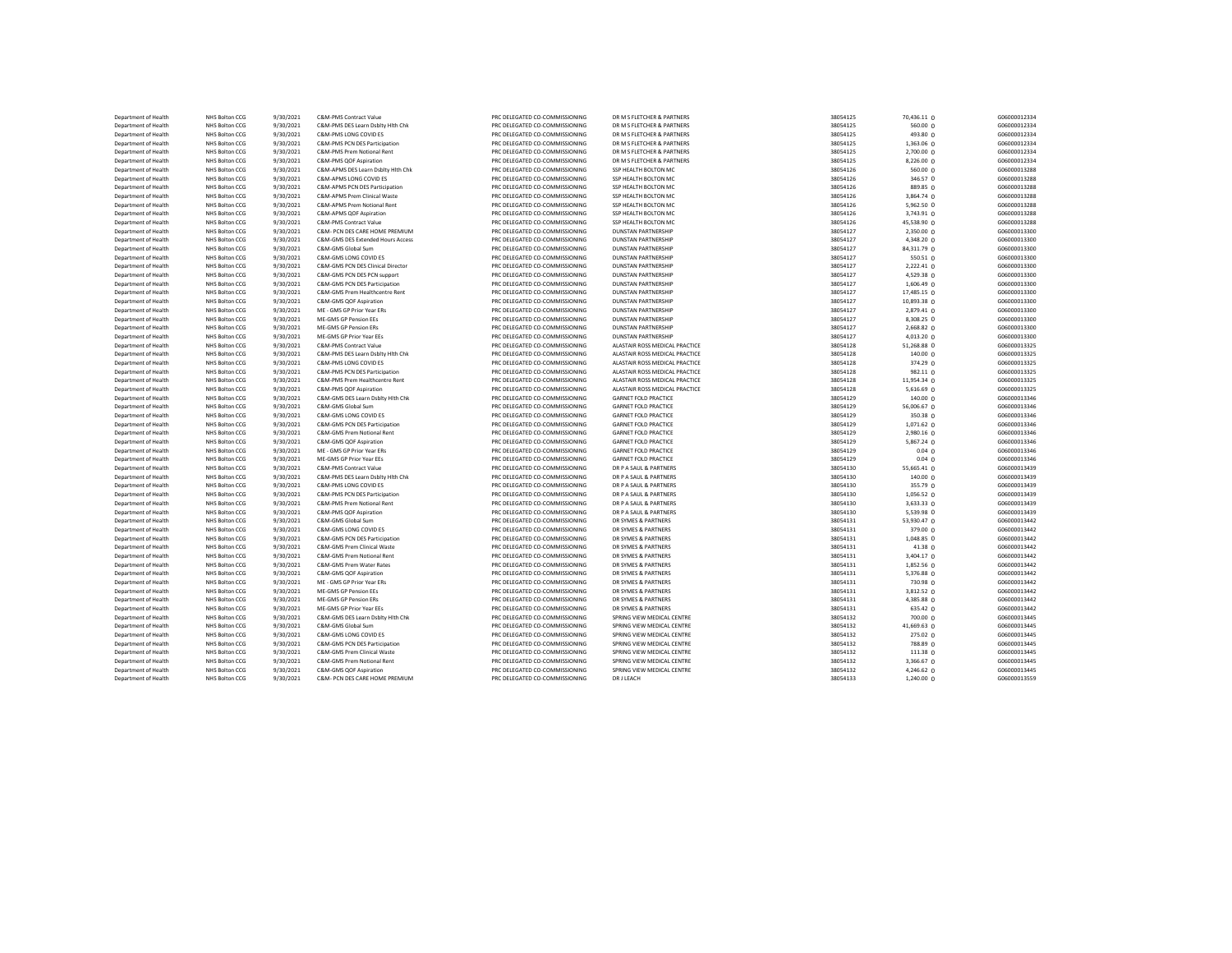| Department of Health | NHS Bolton CCG | 9/30/2021 | C&M-PMS Contract Value             | PRC DELEGATED CO-COMMISSIONING | DR M S FLETCHER & PARTNERS     | 38054125 | 70,436.11 0     | G06000012334 |
|----------------------|----------------|-----------|------------------------------------|--------------------------------|--------------------------------|----------|-----------------|--------------|
| Department of Health | NHS Bolton CCG | 9/30/2021 | C&M-PMS DES Learn Dsblty Hith Chk  | PRC DELEGATED CO-COMMISSIONING | DR M S FLETCHER & PARTNERS     | 38054125 | 560.00 0        | G06000012334 |
| Department of Health | NHS Bolton CCG | 9/30/2021 | C&M-PMS LONG COVID ES              | PRC DELEGATED CO-COMMISSIONING | DR M S FLETCHER & PARTNERS     | 38054125 | 493.80 0        | G06000012334 |
| Department of Health | NHS Bolton CCG | 9/30/2021 | C&M-PMS PCN DES Participation      | PRC DELEGATED CO-COMMISSIONING | DR M S FLETCHER & PARTNERS     | 38054125 | 1,363.06 0      | G06000012334 |
| Department of Health | NHS Bolton CCG | 9/30/2021 | C&M-PMS Prem Notional Rent         | PRC DELEGATED CO-COMMISSIONING | DR M S FLETCHER & PARTNERS     | 38054125 | 2,700.00 0      | G06000012334 |
| Department of Health | NHS Bolton CCG | 9/30/2021 | C&M-PMS QOF Aspiration             | PRC DELEGATED CO-COMMISSIONING | DR M S FLETCHER & PARTNERS     | 38054125 | 8,226.00 0      | G06000012334 |
| Department of Health | NHS Bolton CCG | 9/30/2021 | C&M-APMS DES Learn Dsblty Hith Chk | PRC DELEGATED CO-COMMISSIONING | SSP HEALTH BOLTON MC           | 38054126 | 560.00 0        | G06000013288 |
| Department of Health | NHS Bolton CCG | 9/30/2021 | C&M-APMS LONG COVID ES             | PRC DELEGATED CO-COMMISSIONING | SSP HEALTH BOLTON MC           | 38054126 | 346.57 0        | G06000013288 |
| Department of Health | NHS Bolton CCG | 9/30/2021 | C&M-APMS PCN DES Participation     | PRC DELEGATED CO-COMMISSIONING | SSP HEALTH BOLTON MC           | 38054126 | 889.85 0        | G06000013288 |
| Department of Health | NHS Bolton CCG | 9/30/2021 | C&M-APMS Prem Clinical Waste       | PRC DELEGATED CO-COMMISSIONING | SSP HEALTH BOLTON MC           | 38054126 | 3,864.74 0      | G06000013288 |
| Department of Health | NHS Bolton CCG | 9/30/2021 | C&M-APMS Prem Notional Rent        | PRC DELEGATED CO-COMMISSIONING | SSP HEALTH BOLTON MC           | 38054126 | 5,962.50 0      | G06000013288 |
| Department of Health | NHS Bolton CCG | 9/30/2021 | C&M-APMS QOF Aspiration            | PRC DELEGATED CO-COMMISSIONING | SSP HEALTH BOLTON MC           | 38054126 | 3,743.91 0      | G06000013288 |
| Department of Health | NHS Bolton CCG | 9/30/2021 | C&M-PMS Contract Value             | PRC DELEGATED CO-COMMISSIONING | SSP HEALTH BOLTON MC           | 38054126 | 45,538.90 0     | G06000013288 |
| Department of Health | NHS Bolton CCG | 9/30/2021 | C&M- PCN DES CARE HOME PREMIUM     | PRC DELEGATED CO-COMMISSIONING | <b>DUNSTAN PARTNERSHIP</b>     | 38054127 | 2,350.00 0      | G06000013300 |
| Department of Health | NHS Bolton CCG | 9/30/2021 | C&M-GMS DES Extended Hours Access  | PRC DELEGATED CO-COMMISSIONING | <b>DUNSTAN PARTNERSHIP</b>     | 38054127 | 4,348.20 0      | G06000013300 |
| Department of Health | NHS Bolton CCG | 9/30/2021 | C&M-GMS Global Sum                 | PRC DELEGATED CO-COMMISSIONING | <b>DUNSTAN PARTNERSHIP</b>     | 38054127 | 84,311.79 0     | G06000013300 |
| Department of Health | NHS Bolton CCG | 9/30/2021 | C&M-GMS LONG COVID ES              | PRC DELEGATED CO-COMMISSIONING | <b>DUNSTAN PARTNERSHIP</b>     | 38054127 | 550.51 0        | G06000013300 |
| Department of Health | NHS Bolton CCG | 9/30/2021 | C&M-GMS PCN DES Clinical Director  | PRC DELEGATED CO-COMMISSIONING | <b>DUNSTAN PARTNERSHIP</b>     | 38054127 | 2,222.41 0      | G06000013300 |
| Department of Health | NHS Bolton CCG | 9/30/2021 | C&M-GMS PCN DES PCN support        | PRC DELEGATED CO-COMMISSIONING | <b>DUNSTAN PARTNERSHIP</b>     | 38054127 | 4,529.38 0      | G06000013300 |
| Department of Health | NHS Bolton CCG | 9/30/2021 | C&M-GMS PCN DES Participation      | PRC DELEGATED CO-COMMISSIONING | <b>DUNSTAN PARTNERSHIP</b>     | 38054127 | $1,606.49$ 0    | G06000013300 |
| Department of Health | NHS Bolton CCG | 9/30/2021 | C&M-GMS Prem Healthcentre Rent     | PRC DELEGATED CO-COMMISSIONING | <b>DUNSTAN PARTNERSHIP</b>     | 38054127 | 17,485.15 0     | G06000013300 |
| Department of Health | NHS Bolton CCG | 9/30/2021 | C&M-GMS QOF Aspiration             | PRC DELEGATED CO-COMMISSIONING | <b>DUNSTAN PARTNERSHIP</b>     | 38054127 | 10,893.38 0     | G06000013300 |
| Department of Health | NHS Bolton CCG | 9/30/2021 | ME - GMS GP Prior Year ERs         | PRC DELEGATED CO-COMMISSIONING | <b>DUNSTAN PARTNERSHIP</b>     | 38054127 | 2,879.41 0      | G06000013300 |
| Department of Health | NHS Bolton CCG | 9/30/2021 | ME-GMS GP Pension EEs              | PRC DELEGATED CO-COMMISSIONING | <b>DUNSTAN PARTNERSHIP</b>     | 38054127 | 8,308.25 0      | G06000013300 |
| Department of Health | NHS Bolton CCG | 9/30/2021 | ME-GMS GP Pension ERs              | PRC DELEGATED CO-COMMISSIONING | <b>DUNSTAN PARTNERSHIP</b>     | 38054127 | 2,668.82 0      | G06000013300 |
| Department of Health | NHS Bolton CCG | 9/30/2021 | ME-GMS GP Prior Year EEs           | PRC DELEGATED CO-COMMISSIONING | <b>DUNSTAN PARTNERSHIP</b>     | 38054127 | 4,013.20 0      | G06000013300 |
| Department of Health | NHS Bolton CCG | 9/30/2021 | C&M-PMS Contract Value             | PRC DELEGATED CO-COMMISSIONING | ALASTAIR ROSS MEDICAL PRACTICE | 38054128 | 51,268.88 0     | G06000013325 |
| Department of Health | NHS Bolton CCG | 9/30/2021 | C&M-PMS DES Learn Dsblty Hlth Chk  | PRC DELEGATED CO-COMMISSIONING | ALASTAIR ROSS MEDICAL PRACTICE | 38054128 | 140.00 0        | G06000013325 |
| Department of Health | NHS Bolton CCG | 9/30/2021 | C&M-PMS LONG COVID ES              | PRC DELEGATED CO-COMMISSIONING | ALASTAIR ROSS MEDICAL PRACTICE | 38054128 | 374.29 0        | G06000013325 |
| Department of Health | NHS Bolton CCG | 9/30/2021 | C&M-PMS PCN DES Participation      | PRC DELEGATED CO-COMMISSIONING | ALASTAIR ROSS MEDICAL PRACTICE | 38054128 | 982.11 0        | G06000013325 |
| Department of Health | NHS Bolton CCG | 9/30/2021 | C&M-PMS Prem Healthcentre Rent     | PRC DELEGATED CO-COMMISSIONING | ALASTAIR ROSS MEDICAL PRACTICE | 38054128 | 11,954.34 0     | G06000013325 |
| Department of Health | NHS Bolton CCG | 9/30/2021 | C&M-PMS QOF Aspiration             | PRC DELEGATED CO-COMMISSIONING | ALASTAIR ROSS MEDICAL PRACTICE | 38054128 | 5,616.69 0      | G06000013325 |
| Department of Health | NHS Bolton CCG | 9/30/2021 | C&M-GMS DES Learn Dsblty Hlth Chk  | PRC DELEGATED CO-COMMISSIONING | <b>GARNET FOLD PRACTICE</b>    | 38054129 | 140.00 0        | G06000013346 |
| Department of Health | NHS Bolton CCG | 9/30/2021 | C&M-GMS Global Sum                 | PRC DELEGATED CO-COMMISSIONING | <b>GARNET FOLD PRACTICE</b>    | 38054129 | 56,006.67 0     | G06000013346 |
| Department of Health | NHS Bolton CCG | 9/30/2021 | C&M-GMS LONG COVID ES              | PRC DELEGATED CO-COMMISSIONING | <b>GARNET FOLD PRACTICE</b>    | 38054129 | 350.38 0        | G06000013346 |
| Department of Health | NHS Bolton CCG | 9/30/2021 | C&M-GMS PCN DES Participation      | PRC DELEGATED CO-COMMISSIONING | <b>GARNET FOLD PRACTICE</b>    | 38054129 | 1,071.62 0      | G06000013346 |
| Department of Health | NHS Bolton CCG | 9/30/2021 | C&M-GMS Prem Notional Rent         | PRC DELEGATED CO-COMMISSIONING | <b>GARNET FOLD PRACTICE</b>    | 38054129 | 2,980.16 0      | G06000013346 |
| Department of Health | NHS Bolton CCG | 9/30/2021 | C&M-GMS OOF Asniration             | PRC DELEGATED CO-COMMISSIONING | <b>GARNET FOLD PRACTICE</b>    | 38054129 | 5,867.24 0      | G06000013346 |
| Department of Health | NHS Bolton CCG | 9/30/2021 | ME - GMS GP Prior Year ERs         | PRC DELEGATED CO-COMMISSIONING | <b>GARNET FOLD PRACTICE</b>    | 38054129 | $0.04 \ 0$      | G06000013346 |
| Department of Health | NHS Bolton CCG | 9/30/2021 | ME-GMS GP Prior Year EEs           | PRC DELEGATED CO-COMMISSIONING | <b>GARNET FOLD PRACTICE</b>    | 38054129 | $0.04$ 0        | G06000013346 |
| Department of Health | NHS Bolton CCG | 9/30/2021 | C&M-PMS Contract Value             | PRC DELEGATED CO-COMMISSIONING | DR P A SAUL & PARTNERS         | 38054130 | 55,665.41 0     | G06000013439 |
| Department of Health | NHS Bolton CCG | 9/30/2021 | C&M-PMS DES Learn Dsblty Hlth Chk  | PRC DELEGATED CO-COMMISSIONING | DR P A SAUL & PARTNERS         | 38054130 | $140.00 \Omega$ | G06000013439 |
| Department of Health | NHS Bolton CCG | 9/30/2021 | C&M-PMS LONG COVID ES              | PRC DELEGATED CO-COMMISSIONING | DR P A SAUL & PARTNERS         | 38054130 | 355.79 0        | G06000013439 |
| Department of Health | NHS Bolton CCG | 9/30/2021 | C&M-PMS PCN DES Participation      | PRC DELEGATED CO-COMMISSIONING | DR P A SAUL & PARTNERS         | 38054130 | $1,056.52$ 0    | G06000013439 |
| Department of Health | NHS Bolton CCG | 9/30/2021 | C&M-PMS Prem Notional Rent         | PRC DELEGATED CO-COMMISSIONING | DR P A SAUL & PARTNERS         | 38054130 | 3,633.33 0      | G06000013439 |
| Department of Health | NHS Bolton CCG | 9/30/2021 | C&M-PMS QOF Aspiration             | PRC DELEGATED CO-COMMISSIONING | DR P A SAUL & PARTNERS         | 38054130 | 5,539.98 0      | G06000013439 |
| Department of Health | NHS Bolton CCG | 9/30/2021 | C&M-GMS Global Sum                 | PRC DELEGATED CO-COMMISSIONING | DR SYMES & PARTNERS            | 38054131 | 53,930.47 0     | G06000013442 |
| Department of Health | NHS Bolton CCG | 9/30/2021 | C&M-GMS LONG COVID ES              | PRC DELEGATED CO-COMMISSIONING | DR SYMES & PARTNERS            | 38054131 | 379.00 0        | G06000013442 |
| Department of Health | NHS Bolton CCG | 9/30/2021 | C&M-GMS PCN DES Participation      | PRC DELEGATED CO-COMMISSIONING | DR SYMES & PARTNERS            | 38054131 | 1,048.85 0      | G06000013442 |
| Department of Health | NHS Bolton CCG | 9/30/2021 | C&M-GMS Prem Clinical Waste        | PRC DELEGATED CO-COMMISSIONING | DR SYMES & PARTNERS            | 38054131 | 41.38 0         | G06000013442 |
| Department of Health | NHS Bolton CCG | 9/30/2021 | C&M-GMS Prem Notional Rent         | PRC DELEGATED CO-COMMISSIONING | DR SYMES & PARTNERS            | 38054131 | 3,404.17 0      | G06000013442 |
| Department of Health | NHS Bolton CCG | 9/30/2021 | C&M-GMS Prem Water Rates           | PRC DELEGATED CO-COMMISSIONING | DR SYMES & PARTNERS            | 38054131 | 1,852.56 0      | G06000013442 |
| Department of Health | NHS Bolton CCG | 9/30/2021 | C&M-GMS QOF Aspiration             | PRC DELEGATED CO-COMMISSIONING | DR SYMES & PARTNERS            | 38054131 | 5,376.88 0      | G06000013442 |
| Department of Health | NHS Bolton CCG | 9/30/2021 | ME - GMS GP Prior Year ERs         | PRC DELEGATED CO-COMMISSIONING | DR SYMES & PARTNERS            | 38054131 | 730.98 0        | G06000013442 |
| Department of Health | NHS Bolton CCG | 9/30/2021 | ME-GMS GP Pension EEs              | PRC DELEGATED CO-COMMISSIONING | DR SYMES & PARTNERS            | 38054131 | 3,812.52 0      | G06000013442 |
| Department of Health | NHS Bolton CCG | 9/30/2021 | ME-GMS GP Pension ERs              | PRC DELEGATED CO-COMMISSIONING | DR SYMES & PARTNERS            | 38054131 | 4,385.88 0      | G06000013442 |
| Department of Health | NHS Bolton CCG | 9/30/2021 | ME-GMS GP Prior Year EEs           | PRC DELEGATED CO-COMMISSIONING | DR SYMES & PARTNERS            | 38054131 | 635.42 0        | G06000013442 |
| Department of Health | NHS Bolton CCG | 9/30/2021 | C&M-GMS DES Learn Dsblty Hith Chk  | PRC DELEGATED CO-COMMISSIONING | SPRING VIEW MEDICAL CENTRE     | 38054132 | 700.00 0        | G06000013445 |
| Department of Health | NHS Bolton CCG | 9/30/2021 | C&M-GMS Global Sum                 | PRC DELEGATED CO-COMMISSIONING | SPRING VIEW MEDICAL CENTRE     | 38054132 | 41,669.63 0     | G06000013445 |
| Department of Health | NHS Bolton CCG | 9/30/2021 | C&M-GMS LONG COVID ES              | PRC DELEGATED CO-COMMISSIONING | SPRING VIEW MEDICAL CENTRE     | 38054132 | 275.02 0        | G06000013445 |
| Department of Health | NHS Bolton CCG | 9/30/2021 | C&M-GMS PCN DES Participation      | PRC DELEGATED CO-COMMISSIONING | SPRING VIEW MEDICAL CENTRE     | 38054132 | 788.89 0        | G06000013445 |
| Department of Health | NHS Bolton CCG | 9/30/2021 | C&M-GMS Prem Clinical Waste        | PRC DELEGATED CO-COMMISSIONING | SPRING VIEW MEDICAL CENTRE     | 38054132 | 111.38 0        | G06000013445 |
| Department of Health | NHS Bolton CCG | 9/30/2021 | C&M-GMS Prem Notional Rent         | PRC DELEGATED CO-COMMISSIONING | SPRING VIEW MEDICAL CENTRE     | 38054132 | 3,366.67 0      | G06000013445 |
| Department of Health | NHS Bolton CCG | 9/30/2021 | C&M-GMS QOF Aspiration             | PRC DELEGATED CO-COMMISSIONING | SPRING VIEW MEDICAL CENTRE     | 38054132 | 4,246.62 0      | G06000013445 |
| Department of Health | NHS Bolton CCG | 9/30/2021 | C&M- PCN DES CARE HOME PREMIUM     | PRC DELEGATED CO-COMMISSIONING | DR J LEACH                     | 38054133 | $1,240.00$ 0    | G06000013559 |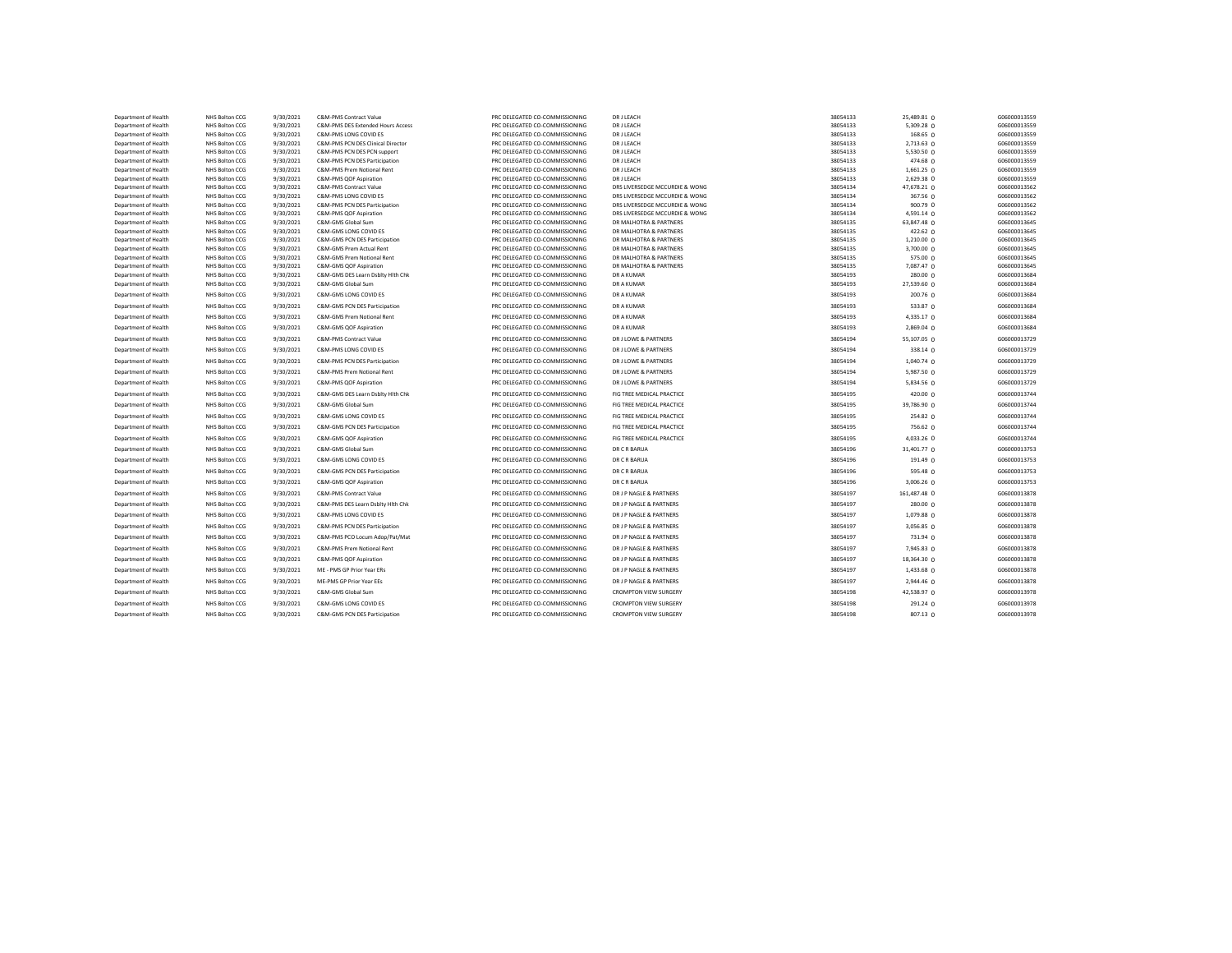| Department of Health                         | NHS Bolton CCG                   | 9/30/2021              | C&M-PMS Contract Value                          | PRC DELEGATED CO-COMMISSIONING                                   | DR J LEACH                                          | 38054133             | 25,489.81 0             | G06000013559                 |
|----------------------------------------------|----------------------------------|------------------------|-------------------------------------------------|------------------------------------------------------------------|-----------------------------------------------------|----------------------|-------------------------|------------------------------|
| Department of Health                         | NHS Bolton CCG                   | 9/30/2021              | C&M-PMS DES Extended Hours Access               | PRC DELEGATED CO-COMMISSIONING                                   | <b>DR J LEACH</b>                                   | 38054133             | 5,309.28 0              | G06000013559                 |
| Department of Health                         | NHS Bolton CCG                   | 9/30/2021              | C&M-PMS LONG COVID ES                           | PRC DELEGATED CO-COMMISSIONING                                   | <b>DR J LEACH</b>                                   | 38054133             | 168.65 0                | G06000013559                 |
| Department of Health                         | NHS Bolton CCG                   | 9/30/2021              | C&M-PMS PCN DES Clinical Director               | PRC DELEGATED CO-COMMISSIONING                                   | DR J LEACH                                          | 38054133             | 2,713.63 0              | G06000013559                 |
| Department of Health                         | NHS Bolton CCG                   | 9/30/2021              | C&M-PMS PCN DES PCN support                     | PRC DELEGATED CO-COMMISSIONING                                   | DR J LEACH                                          | 38054133             | 5,530.50 0              | G06000013559                 |
| Department of Health                         | NHS Bolton CCG                   | 9/30/2021              | C&M-PMS PCN DES Participation                   | PRC DELEGATED CO-COMMISSIONING                                   | <b>DR J LEACH</b>                                   | 38054133             | 474.68 0                | G06000013559                 |
| Department of Health                         | NHS Bolton CCG                   | 9/30/2021              | C&M-PMS Prem Notional Rent                      | PRC DELEGATED CO-COMMISSIONING                                   | DR J LEACH                                          | 38054133             | 1,661.25 0              | G06000013559                 |
| Department of Health                         | NHS Bolton CCG                   | 9/30/2021<br>9/30/2021 | C&M-PMS QOF Aspiration                          | PRC DELEGATED CO-COMMISSIONING<br>PRC DELEGATED CO-COMMISSIONING | <b>DR J LEACH</b><br>DRS LIVERSEDGE MCCURDIE & WONG | 38054133<br>38054134 | 2,629.38 0              | G06000013559<br>G06000013562 |
| Department of Health<br>Department of Health | NHS Bolton CCG<br>NHS Bolton CCG | 9/30/2021              | C&M-PMS Contract Value<br>C&M-PMS LONG COVID ES | PRC DELEGATED CO-COMMISSIONING                                   | DRS LIVERSEDGE MCCURDIE & WONG                      | 38054134             | 47,678.21 0<br>367.56 0 | G06000013562                 |
| Department of Health                         | NHS Bolton CCG                   | 9/30/2021              | C&M-PMS PCN DES Participation                   | PRC DELEGATED CO-COMMISSIONING                                   | DRS LIVERSEDGE MCCURDIE & WONG                      | 38054134             | 900.79 0                | G06000013562                 |
| Department of Health                         | NHS Bolton CCG                   | 9/30/2021              | C&M-PMS QOF Aspiration                          | PRC DELEGATED CO-COMMISSIONING                                   | DRS LIVERSEDGE MCCURDIE & WONG                      | 38054134             | 4,591.14 0              | G06000013562                 |
| Department of Health                         | NHS Bolton CCG                   | 9/30/2021              | C&M-GMS Global Sum                              | PRC DELEGATED CO-COMMISSIONING                                   | DR MALHOTRA & PARTNERS                              | 38054135             | 63,847.48 0             | G06000013645                 |
| Department of Health                         | NHS Bolton CCG                   | 9/30/2021              | C&M-GMS LONG COVID ES                           | PRC DELEGATED CO-COMMISSIONING                                   | DR MALHOTRA & PARTNERS                              | 38054135             | 422.62 0                | G06000013645                 |
| Department of Health                         | NHS Bolton CCG                   | 9/30/2021              | C&M-GMS PCN DES Participation                   | PRC DELEGATED CO-COMMISSIONING                                   | DR MALHOTRA & PARTNERS                              | 38054135             | 1,210.00 0              | G06000013645                 |
| Department of Health                         | NHS Bolton CCG                   | 9/30/2021              | C&M-GMS Prem Actual Rent                        | PRC DELEGATED CO-COMMISSIONING                                   | DR MALHOTRA & PARTNERS                              | 38054135             | 3,700.00 0              | G06000013645                 |
| Department of Health                         | NHS Bolton CCG                   | 9/30/2021              | C&M-GMS Prem Notional Rent                      | PRC DELEGATED CO-COMMISSIONING                                   | DR MALHOTRA & PARTNERS                              | 38054135             | 575.00 0                | G06000013645                 |
| Department of Health                         | NHS Bolton CCG                   | 9/30/2021              | C&M-GMS QOF Aspiration                          | PRC DELEGATED CO-COMMISSIONING                                   | DR MALHOTRA & PARTNERS                              | 38054135             | 7,087.47 0              | G06000013645                 |
| Department of Health                         | NHS Bolton CCG                   | 9/30/2021              | C&M-GMS DES Learn Dsblty Hith Chk               | PRC DELEGATED CO-COMMISSIONING                                   | DR A KUMAR                                          | 38054193             | 280.00 <sub>0</sub>     | G06000013684                 |
| Department of Health                         | NHS Bolton CCG                   | 9/30/2021              | C&M-GMS Global Sum                              | PRC DELEGATED CO-COMMISSIONING                                   | DR A KUMAR                                          | 38054193             | 27,539.60 0             | G06000013684                 |
| Department of Health                         | NHS Bolton CCG                   | 9/30/2021              | C&M-GMS LONG COVID ES                           | PRC DELEGATED CO-COMMISSIONING                                   | DR A KUMAR                                          | 38054193             | 200.76 0                | G06000013684                 |
| Department of Health                         | NHS Bolton CCG                   | 9/30/2021              | C&M-GMS PCN DES Participation                   | PRC DELEGATED CO-COMMISSIONING                                   | DR A KUMAR                                          | 38054193             | 533.87 0                | G06000013684                 |
| Department of Health                         | NHS Bolton CCG                   | 9/30/2021              | C&M-GMS Prem Notional Rent                      | PRC DELEGATED CO-COMMISSIONING                                   | DR A KUMAR                                          | 38054193             | 4,335.17 0              | G06000013684                 |
| Department of Health                         | NHS Bolton CCG                   | 9/30/2021              | C&M-GMS QOF Aspiration                          | PRC DELEGATED CO-COMMISSIONING                                   | DR A KUMAR                                          | 38054193             | 2,869.04 0              | G06000013684                 |
| Department of Health                         | NHS Bolton CCG                   | 9/30/2021              | C&M-PMS Contract Value                          | PRC DELEGATED CO-COMMISSIONING                                   | DR J LOWE & PARTNERS                                | 38054194             | 55,107.05 0             | G06000013729                 |
| Department of Health                         | NHS Bolton CCG                   | 9/30/2021              | C&M-PMS LONG COVID ES                           | PRC DELEGATED CO-COMMISSIONING                                   | DR J LOWE & PARTNERS                                | 38054194             | 338.14 0                | G06000013729                 |
| Department of Health                         | NHS Bolton CCG                   | 9/30/2021              | C&M-PMS PCN DES Participation                   | PRC DELEGATED CO-COMMISSIONING                                   | DR J LOWE & PARTNERS                                | 38054194             | 1,040.74 0              | G06000013729                 |
| Department of Health                         | NHS Bolton CCG                   | 9/30/2021              | C&M-PMS Prem Notional Rent                      | PRC DELEGATED CO-COMMISSIONING                                   | DR J LOWE & PARTNERS                                | 38054194             | $5,987.50$ 0            | G06000013729                 |
| Department of Health                         | NHS Bolton CCG                   | 9/30/2021              | C&M-PMS QOF Aspiration                          | PRC DELEGATED CO-COMMISSIONING                                   | DR J LOWE & PARTNERS                                | 38054194             | 5,834.56 0              | G06000013729                 |
| Department of Health                         | NHS Bolton CCG                   | 9/30/2021              | C&M-GMS DES Learn Dsblty Hith Chk               | PRC DELEGATED CO-COMMISSIONING                                   | FIG TREE MEDICAL PRACTICE                           | 38054195             | 420.00 0                | G06000013744                 |
| Department of Health                         | NHS Bolton CCG                   | 9/30/2021              | C&M-GMS Global Sum                              | PRC DELEGATED CO-COMMISSIONING                                   | FIG TREE MEDICAL PRACTICE                           | 38054195             | 39,786.90 0             | G06000013744                 |
| Department of Health                         | NHS Bolton CCG                   | 9/30/2021              | C&M-GMS LONG COVID ES                           | PRC DELEGATED CO-COMMISSIONING                                   | FIG TREE MEDICAL PRACTICE                           | 38054195             | 254.82 0                | G06000013744                 |
| Department of Health                         | NHS Bolton CCG                   | 9/30/2021              | C&M-GMS PCN DES Participation                   | PRC DELEGATED CO-COMMISSIONING                                   | FIG TREE MEDICAL PRACTICE                           | 38054195             | 756.62 0                | G06000013744                 |
| Department of Health                         | NHS Bolton CCG                   | 9/30/2021              | C&M-GMS QOF Aspiration                          | PRC DELEGATED CO-COMMISSIONING                                   | FIG TREE MEDICAL PRACTICE                           | 38054195             | 4,033.26 0              | G06000013744                 |
| Department of Health                         | NHS Bolton CCG                   | 9/30/2021              | C&M-GMS Global Sum                              | PRC DELEGATED CO-COMMISSIONING                                   | DR C R BARUA                                        | 38054196             | 31,401.77 0             | G06000013753                 |
| Department of Health                         | NHS Bolton CCG                   | 9/30/2021              | C&M-GMS LONG COVID ES                           | PRC DELEGATED CO-COMMISSIONING                                   | DR C R BARUA                                        | 38054196             | 191.49 <sub>0</sub>     | G06000013753                 |
| Department of Health                         | NHS Bolton CCG                   | 9/30/2021              | C&M-GMS PCN DES Participation                   | PRC DELEGATED CO-COMMISSIONING                                   | DR C R BARUA                                        | 38054196             | 595.48 0                | G06000013753                 |
| Department of Health                         | NHS Bolton CCG                   | 9/30/2021              | C&M-GMS QOF Aspiration                          | PRC DELEGATED CO-COMMISSIONING                                   | DR C R BARUA                                        | 38054196             | 3,006.26 0              | G06000013753                 |
| Department of Health                         | NHS Bolton CCG                   | 9/30/2021              | C&M-PMS Contract Value                          | PRC DELEGATED CO-COMMISSIONING                                   | DR J P NAGLE & PARTNERS                             | 38054197             | 161,487.48 0            | G06000013878                 |
| Department of Health                         | NHS Bolton CCG                   | 9/30/2021              | C&M-PMS DES Learn Dsblty Hith Chk               | PRC DELEGATED CO-COMMISSIONING                                   | DR J P NAGLE & PARTNERS                             | 38054197             | 280.00 0                | G06000013878                 |
| Department of Health                         | NHS Bolton CCG                   | 9/30/2021              | C&M-PMS LONG COVID ES                           | PRC DELEGATED CO-COMMISSIONING                                   | DR J P NAGLE & PARTNERS                             | 38054197             | 1,079.88 0              | G06000013878                 |
| Department of Health                         | NHS Bolton CCG                   | 9/30/2021              | C&M-PMS PCN DES Participation                   | PRC DELEGATED CO-COMMISSIONING                                   | DR J P NAGLE & PARTNERS                             | 38054197             | 3,056.85 0              | G06000013878                 |
| Department of Health                         | NHS Bolton CCG                   | 9/30/2021              | C&M-PMS PCO Locum Adop/Pat/Mat                  | PRC DELEGATED CO-COMMISSIONING                                   | DR J P NAGLE & PARTNERS                             | 38054197             | 731.94 0                | G06000013878                 |
| Department of Health                         | NHS Bolton CCG                   | 9/30/2021              | C&M-PMS Prem Notional Rent                      | PRC DELEGATED CO-COMMISSIONING                                   | DR J P NAGLE & PARTNERS                             | 38054197             | 7,945.83 0              | G06000013878                 |
| Department of Health                         | NHS Bolton CCG                   | 9/30/2021              | C&M-PMS QOF Aspiration                          | PRC DELEGATED CO-COMMISSIONING                                   | DR J P NAGLE & PARTNERS                             | 38054197             | 18,364.30 0             | G06000013878                 |
| Department of Health                         | NHS Bolton CCG                   | 9/30/2021              | ME - PMS GP Prior Year ERs                      | PRC DELEGATED CO-COMMISSIONING                                   | DR J P NAGLE & PARTNERS                             | 38054197             | 1,433.68 0              | G06000013878                 |
| Department of Health                         | NHS Bolton CCG                   | 9/30/2021              | ME-PMS GP Prior Year EEs                        | PRC DELEGATED CO-COMMISSIONING                                   | DR J P NAGLE & PARTNERS                             | 38054197             | 2,944.46 0              | G06000013878                 |
| Department of Health                         | NHS Bolton CCG                   | 9/30/2021              | C&M-GMS Global Sum                              | PRC DELEGATED CO-COMMISSIONING                                   | <b>CROMPTON VIEW SURGERY</b>                        | 38054198             | 42,538.97 0             | G06000013978                 |
| Department of Health                         | NHS Bolton CCG                   | 9/30/2021              | C&M-GMS LONG COVID ES                           | PRC DELEGATED CO-COMMISSIONING                                   | <b>CROMPTON VIEW SURGERY</b>                        | 38054198             | 291.24 0                | G06000013978                 |
| Department of Health                         | NHS Bolton CCG                   | 9/30/2021              | C&M-GMS PCN DES Participation                   | PRC DELEGATED CO-COMMISSIONING                                   | <b>CROMPTON VIEW SURGERY</b>                        | 38054198             | 807.13 0                | G06000013978                 |